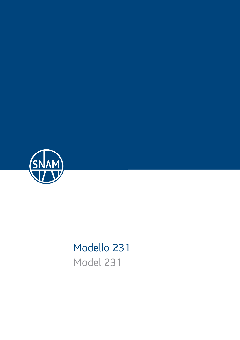

# Modello 231 Model 231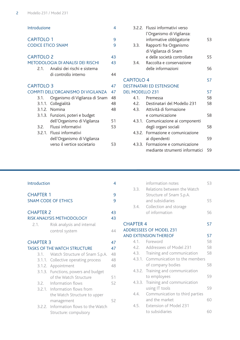| Introduzione                                  |                                                      | 4      |
|-----------------------------------------------|------------------------------------------------------|--------|
| <b>CAPITOLO 1</b><br><b>CODICE ETICO SNAM</b> |                                                      | 9<br>٩ |
| <b>CAPITOLO 2</b>                             |                                                      | 43     |
|                                               | <b>METODOLOGIA DI ANALISI DEI RISCHI</b>             | 43     |
| 2.1.                                          | Analisi dei rischi e sistema<br>di controllo interno | 44     |
| <b>CAPITOLO 3</b>                             |                                                      |        |
| COMPITI DELL'ORGANISMO DI VIGILANZA           |                                                      | 47     |
| 3.1.                                          | Organismo di Vigilanza di Snam                       | 48     |
|                                               | 3.1.1. Collegialità                                  | 48     |
|                                               | 3.1.2. Nomina                                        | 48     |
|                                               | 3.1.3. Funzioni, poteri e budget                     |        |
|                                               | dell'Organismo di Vigilanza                          | 51     |
|                                               | 3.2. Flussi informativi                              | 53     |
|                                               | 3.2.1. Flussi informativi                            |        |
|                                               | dell'Organismo di Vigilanza                          |        |
|                                               | verso il vertice societario                          | 53     |

|                        | 3.2.2. Flussi informativi verso    |    |
|------------------------|------------------------------------|----|
|                        | l'Organismo di Vigilanza:          |    |
|                        | informative obbligatorie           | 53 |
| 3.3.                   | Rapporti fra Organismo             |    |
|                        | di Vigilanza di Snam               |    |
|                        | e delle società controllate        | 55 |
| 3.4.                   | Raccolta e conservazione           |    |
|                        | delle informazioni                 | 56 |
| <b>CAPITOLO 4</b>      |                                    | 57 |
|                        | <b>DESTINATARI ED ESTENSIONE</b>   |    |
| <b>DEL MODELLO 231</b> |                                    | 57 |
|                        |                                    |    |
|                        | 4.1 Premessa                       | 58 |
|                        | 4.2. Destinatari del Modello 231   | 58 |
| 4.3.                   | Attività di formazione             |    |
|                        | e comunicazione                    | 58 |
|                        | 4.3.1. Comunicazione ai componenti |    |
|                        | degli organi sociali               | 58 |
|                        | 4.3.2. Formazione e comunicazione  |    |
|                        | ai dipendenti                      | 59 |
|                        | 4.3.3. Formazione e comunicazione  |    |
|                        | mediante strumenti informatici     | 59 |

# Introduction 4 CHAPTER 1 9 SNAM CODE OF ETHICS 9 CHAPTER 2 43 RISK ANALYSIS METHODOLOGY 43 2.1. Risk analysis and internal control system 44 CHAPTER 3 47 TASKS OF THE WATCH STRUCTURE 47 3.1. Watch Structure of Snam S.p.A. 48 3.1.1. Collective operating process 48 3.1.2. Appointment 48 3.1.3. Functions, powers and budget of the Watch Structure 51 3.2. Information flows 52 3.2.1. Information flows from the Watch Structure to upper management 52 3.2.2. Information flows to the Watch Structure: compulsory

|                  | information notes                   | 53 |
|------------------|-------------------------------------|----|
|                  | 3.3. Relations between the Watch    |    |
|                  | Structure of Snam S.p.A.            |    |
|                  | and subsidiaries                    | 55 |
|                  | 3.4. Collection and storage         |    |
|                  | of information                      | 56 |
| <b>CHAPTER 4</b> |                                     | 57 |
|                  | <b>ADDRESSEES OF MODEL 231</b>      |    |
|                  | <b>AND EXTENSION THEREOF</b>        | 57 |
|                  | 4.1. Foreword                       | 58 |
|                  | 4.2. Addressees of Model 231        | 58 |
|                  | 4.3. Training and communication     | 58 |
|                  | 4.3.1. Communication to the members |    |
|                  | of company bodies                   | 58 |
|                  | 4.3.2. Training and communication   |    |
|                  | to employees                        | 59 |
|                  | 4.3.3. Training and communication   |    |
|                  | using IT tools                      | 59 |
| 4.4.             | Communication to third parties      |    |
|                  | and the market                      | 60 |
|                  | 4.5. Extension of Model 231         |    |
|                  | to subsidiaries                     | 60 |
|                  |                                     |    |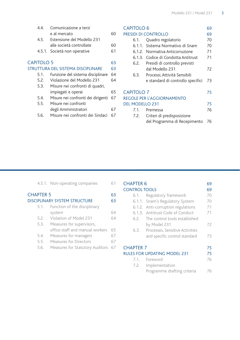| 44                | Comunicazione a terzi              |    |
|-------------------|------------------------------------|----|
|                   | e al mercato                       | 60 |
| 4.5.              | Estensione del Modello 231         |    |
|                   | alle società controllate           | 60 |
|                   | 4.5.1. Società non operative       | 61 |
| <b>CAPITOLO 5</b> |                                    | 63 |
|                   | STRUTTURA DEL SISTEMA DISCIPLINARE | 63 |
| 5.1.              | Funzione del sistema disciplinare  | 64 |
| 5.2.              | Violazione del Modello 231         | 64 |
| 5.3.              | Misure nei confronti di quadri,    |    |
|                   | impiegati e operai                 | 65 |
| 5.4.              | Misure nei confronti dei dirigenti | 67 |
| 5.5.              | Misure nei confronti               |    |
|                   | degli Amministratori               | 67 |
| 5.6.              | Misure nei confronti dei Sindaci   | 67 |
|                   |                                    |    |

# CAPITOLO 6 69<br>
PRESIDI DI CONTROLLO 69

# PRESIDI DI CONTROLLO 6.1. Quadro regolatorio 70<br>6.1.1 Sistema Normativo di Snam 70 6.1.1. Sistema Normativo di Snam

 6.1.2. Normativa Anticorruzione 71 6.1.3. Codice di Condotta Antitrust 71 6.2. Presidi di controllo previsti dal Modello 231 72 6.3. Processi, Attività Sensibili e standard di controllo specifici 73 CAPITOLO 7 75 REGOLE PER L'AGGIORNAMENTO DEL MODELLO 231 75

| 7.1. Premessa                   | 76 |
|---------------------------------|----|
| 7.2. Criteri di predisposizione |    |
| del Programma di Recepimento 76 |    |

# 4.5.1. Non-operating companies 61

| <b>CHAPTER 5</b> | <b>DISCIPLINARY SYSTEM STRUCTURE</b> | 63<br>63 |
|------------------|--------------------------------------|----------|
|                  | 5.1. Function of the disciplinary    |          |
|                  | system                               | 64       |
| 5.2.             | Violation of Model 231               | 64       |
| 5.3.             | Measures for supervisors,            |          |
|                  | office staff and manual workers      | 65       |
| 5.4.             | Measures for managers                | 67       |
| 5.5.             | Measures for Directors               | 67       |
| 5.6.             | Measures for Statutory Auditors 67   |          |
|                  |                                      |          |

| <b>CHAPTER 6</b>             |                                    | 69 |
|------------------------------|------------------------------------|----|
| <b>CONTROL TOOLS</b>         |                                    | 69 |
| 6.1.                         | Regulatory framework               | 70 |
|                              | 6.1.1. Snam's Regulatory System    | 70 |
|                              | 6.1.2. Anti-corruption regulations | 71 |
|                              | 6.1.3. Antitrust Code of Conduct   | 71 |
| 6.2.                         | The control tools established      |    |
|                              | by Model 231                       | 72 |
| 6.3.                         | Processes, Sensitive Activities    |    |
|                              | and specific control standard      | 73 |
| <b>CHAPTER 7</b>             |                                    | 75 |
| RULES FOR UPDATING MODEL 231 |                                    | 75 |
|                              | 7.1. Foreword                      | 76 |
|                              | 7.2. Implementation                |    |
|                              | Programme drafting criteria        | 76 |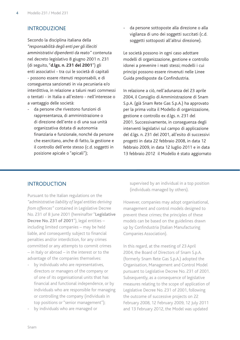# Introduzione

Secondo la disciplina italiana della *"responsabilità degli enti per gli illeciti amministrativi dipendenti da reato"* contenuta nel decreto legislativo 8 giugno 2001 n. 231 (di seguito, "**d.lgs. n. 231 del 2001**") gli enti associativi - tra cui le società di capitali - possono essere ritenuti responsabili, e di conseguenza sanzionati in via pecuniaria e/o interdittiva, in relazione a taluni reati commessi o tentati - in Italia o all'estero - nell'interesse o a vantaggio delle società:

da persone che rivestono funzioni di rappresentanza, di amministrazione o di direzione dell'ente o di una sua unità organizzativa dotata di autonomia finanziaria e funzionale, nonché da persone che esercitano, anche di fatto, la gestione e il controllo dell'ente stesso (c.d. soggetti in posizione apicale o "apicali");

da persone sottoposte alla direzione o alla vigilanza di uno dei soggetti succitati (c.d. soggetti sottoposti all'altrui direzione).

Le società possono in ogni caso adottare modelli di organizzazione, gestione e controllo idonei a prevenire i reati stessi; modelli i cui principi possono essere rinvenuti nelle Linee Guida predisposte da Confindustria.

In relazione a ciò, nell'adunanza del 23 aprile 2004, il Consiglio di Amministrazione di Snam S.p.A. (già Snam Rete Gas S.p.A.) ha approvato per la prima volta il Modello di organizzazione, gestione e controllo ex d.lgs. n. 231 del 2001. Successivamente, in conseguenza degli interventi legislativi sul campo di applicazione del d.lgs. n. 231 del 2001, all'esito di successivi progetti in data 22 febbraio 2008, in data 12 febbraio 2009, in data 12 luglio 2011 e in data 13 febbraio 2012 il Modello è stato aggiornato

# **INTRODUCTION**

Pursuant to the Italian regulations on the *"administrative liability of legal entities deriving from offences"* contained in Legislative Decree No. 231 of 8 June 2001 (hereinafter "**Legislative Decree No. 231 of 2001**"), legal entities – including limited companies – may be held liable, and consequently subject to financial penalties and/or interdiction, for any crimes committed or any attempts to commit crimes – in Italy or abroad – in the interest or to the advantage of the companies themselves:

- by individuals who are representatives, directors or managers of the company or of one of its organisational units that has financial and functional independence, or by individuals who are responsible for managing or controlling the company (individuals in top positions or "senior management");
- by individuals who are managed or

supervised by an individual in a top position (individuals managed by others).

However, companies may adopt organisational, management and control models designed to prevent these crimes; the principles of these models can be based on the guidelines drawn up by Confindustria (Italian Manufacturing Companies Association).

In this regard, at the meeting of 23 April 2004, the Board of Directors of Snam S.p.A. (formerly Snam Rete Gas S.p.A.) adopted the Organisation, Management and Control Model pursuant to Legislative Decree No. 231 of 2001. Subsequently, as a consequence of legislative measures relating to the scope of application of Legislative Decree No. 231 of 2001, following the outcome of successive projects on 22 February 2008, 12 February 2009, 12 July 2011 and 13 February 2012, the Model was updated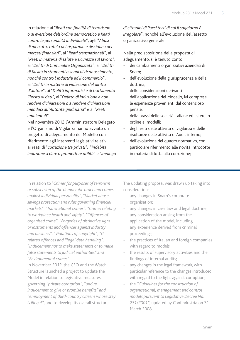in relazione ai "*Reati con finalità di terrorismo o di eversione dell'ordine democratico e Reati contro la personalità individuale*", agli "*Abusi di mercato, tutela del risparmio e disciplina dei mercati finanziari*", ai "*Reati transnazionali*", ai "*Reati in materia di salute e sicurezza sul lavoro*", ai "*Delitti di Criminalità Organizzata*", ai "*Delitti di falsità in strumenti o segni di riconoscimento, nonché contro l'industria ed il commercio*", ai "*Delitti in materia di violazione del diritto d'autore*", ai "*Delitti informatici e di trattamento illecito di dati*", al "*Delitto di induzione a non rendere dichiarazioni o a rendere dichiarazioni mendaci all'Autorità giudiziaria*" e ai "*Reati ambientali*".

Nel novembre 2012 l'Amministratore Delegato e l'Organismo di Vigilanza hanno avviato un progetto di adeguamento del Modello con riferimento agli interventi legislativi relativi ai reati di "*corruzione tra privati*", "*indebita induzione a dare o promettere utilità*" e "*impiego*  *di cittadini di Paesi terzi di cui il soggiorno è irregolare*", nonché all'evoluzione dell'assetto organizzativo generale.

Nella predisposizione della proposta di adeguamento, si è tenuto conto:

- dei cambiamenti organizzativi aziendali di Snam;
- dell'evoluzione della giurisprudenza e della dottrina;
- delle considerazioni derivanti dall'applicazione del Modello, ivi comprese le esperienze provenienti dal contenzioso penale;
- della prassi delle società italiane ed estere in ordine ai modelli;
- degli esiti delle attività di vigilanza e delle risultanze delle attività di Audit interno;
- dell'evoluzione del quadro normativo, con particolare riferimento alle novità introdotte in materia di lotta alla corruzione;

in relation to *"Crimes for purposes of terrorism or subversion of the democratic order and crimes against individual personality", "Market abuse, savings protection and rules governing financial markets", "Transnational crimes", "Crimes relating to workplace health and safety", "Offences of organised crime", "Forgeries of distinctive signs or instruments and offences against industry and business", "Violations of copyright", "ITrelated offences and illegal data handling", "Inducement not to make statements or to make false statements to judicial authorities" and "Environmental crimes".*

In November 2012, the CEO and the Watch Structure launched a project to update the Model in relation to legislative measures governing *"private corruption", "undue inducement to give or promise benefits" and "employment of third-country citizens whose stay is illegal"*, and to develop its overall structure.

The updating proposal was drawn up taking into consideration:

- any changes in Snam's corporate organisation;
- any changes in case law and legal doctrine;
- any consideration arising from the application of the model, including any experience derived from criminal proceedings;
- the practices of Italian and foreign companies with regard to models;
- the results of supervisory activities and the findings of internal audits;
- any changes in the legal framework, with particular reference to the changes introduced with regard to the fight against corruption;
- the *"Guidelines for the construction of organisational, management and control models pursuant to Legislative Decree No. 231/2001"*, updated by Confindustria on 31 March 2008.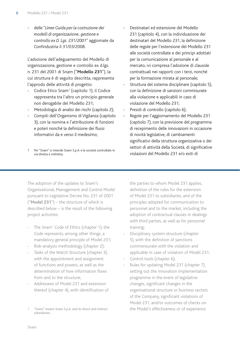- delle "*Linee Guida per la costruzione dei modelli di organizzazione, gestione e controllo ex D. Lgs. 231/2001*" aggiornate da Confindustria il 31/03/2008.

L'adozione dell'adeguamento del Modello di organizzazione, gestione e controllo ex d.lgs. n. 231 del 2001 di Snam ("**Modello 231**"), la cui struttura è di seguito descritta, rappresenta l'approdo delle attività di progetto:

- Codice Etico Snam<sup>1</sup> (capitolo 1); il Codice rappresenta tra l'altro un principio generale non derogabile del Modello 231;
- Metodologia di analisi dei rischi (capitolo 2);
- Compiti dell'Organismo di Vigilanza (capitolo 3), con la nomina e l'attribuzione di funzioni e poteri nonché la definizione dei flussi informativi da e verso il medesimo;
- Per "Snam" si intende Snam S.p.A. e le società controllate in via diretta e indiretta.
- Destinatari ed estensione del Modello 231 (capitolo 4), con la individuazione dei destinatari del Modello 231, la definizione delle regole per l'estensione del Modello 231 alle società controllate e dei principi adottati per la comunicazione al personale e al mercato, ivi compresa l'adozione di clausole contrattuali nei rapporti con i terzi, nonché per la formazione mirata al personale;
- Struttura del sistema disciplinare (capitolo 5), con la definizione di sanzioni commisurate alla violazione e applicabili in caso di violazione del Modello 231;
- Presidi di controllo (capitolo 6):
- Regole per l'aggiornamento del Modello 231 (capitolo 7), con la previsione del programma di recepimento delle innovazioni in occasione di novità legislative, di cambiamenti significativi della struttura organizzativa o dei settori di attività della Società, di significative violazioni del Modello 231 e/o esiti di

The adoption of the updates to Snam's Organisational, Management and Control Model pursuant to Legislative Decree No. 231 of 2001 ("**Model 231**") – the structure of which is described below – is the result of the following project activities:

- The Snam<sup>1</sup> Code of Ethics (chapter 1); the Code represents, among other things, a mandatory general principle of Model 231;
- Risk-analysis methodology (chapter 2);
- Tasks of the Watch Structure (chapter 3), with the appointment and assignment of functions and powers, as well as the determination of how information flows from and to the structure;
- Addressees of Model 231 and extension thereof (chapter 4), with identification of

the parties to whom Model 231 applies, definition of the rules for the extension of Model 231 to subsidiaries, and of the principles adopted for communication to personnel and to the market, including the adoption of contractual clauses in dealings with third parties, as well as for personnel training;

- Disciplinary system structure (chapter 5), with the definition of sanctions commensurate with the violation and applicable in case of violation of Model 231;
- Control tools (chapter 6);
- Rules for updating Model 231 (chapter 7). setting out the innovation implementation programme in the event of legislative changes, significant changes in the organisational structure or business sectors of the Company, significant violations of Model 231, and/or outcomes of checks on the Model's effectiveness or of experience

<sup>1</sup> "Snam" means Snam S.p.A. and its direct and indirect subsidiaries.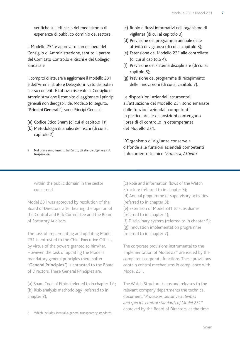verifiche sull'efficacia del medesimo o di esperienze di pubblico dominio del settore.

Il Modello 231 è approvato con delibera del Consiglio di Amministrazione, sentito il parere del Comitato Controllo e Rischi e del Collegio Sindacale.

Il compito di attuare e aggiornare il Modello 231 è dell'Amministratore Delegato, in virtù dei poteri a esso conferiti. È tuttavia riservato al Consiglio di Amministrazione il compito di aggiornare i principi generali non derogabili del Modello (di seguito, "**Principi Generali**"); sono Principi Generali:

- (a) Codice Etico Snam (di cui al capitolo 1)<sup>2</sup>; ;
- (b) Metodologia di analisi dei rischi (di cui al capitolo 2);
- 2 Nel quale sono inseriti, tra l'altro, gli standard generali di trasparenza.
- (c) Ruolo e flussi informativi dell'organismo di vigilanza (di cui al capitolo 3);
- (d) Previsione del programma annuale delle attività di vigilanza (di cui al capitolo 3);
- (e) Estensione del Modello 231 alle controllate (di cui al capitolo 4);
- (f) Previsione del sistema disciplinare (di cui al capitolo 5);
- (g) Previsione del programma di recepimento delle innovazioni (di cui al capitolo 7).

Le disposizioni aziendali strumentali all'attuazione del Modello 231 sono emanate dalle funzioni aziendali competenti. In particolare, le disposizioni contengono i presidi di controllo in ottemperanza del Modello 231.

L'Organismo di Vigilanza conserva e diffonde alle funzioni aziendali competenti il documento tecnico "*Processi, Attività* 

within the public domain in the sector concerned.

Model 231 was approved by resolution of the Board of Directors, after hearing the opinion of the Control and Risk Committee and the Board of Statutory Auditors.

The task of implementing and updating Model 231 is entrusted to the Chief Executive Officer, by virtue of the powers granted to him/her. However, the task of updating the Model's mandatory general principles (hereinafter "**General Principles**") is entrusted to the Board of Directors. These General Principles are:

(a) Snam Code of Ethics (referred to in chapter  $1)^2$ ; (b) Risk-analysis methodology (referred to in chapter 2);

Which includes, inter alia, general transparency standards.

(c) Role and information flows of the Watch Structure (referred to in chapter 3); (d) Annual programme of supervisory activities (referred to in chapter 3); (e) Extension of Model 231 to subsidiaries (referred to in chapter 4); (f) Disciplinary system (referred to in chapter 5); (g) Innovation implementation programme (referred to in chapter 7).

The corporate provisions instrumental to the implementation of Model 231 are issued by the competent corporate functions. These provisions contain control mechanisms in compliance with Model 231.

The Watch Structure keeps and releases to the relevant company departments the technical document, *"Processes, sensitive activities and specific control standards of Model 231"* approved by the Board of Directors, at the time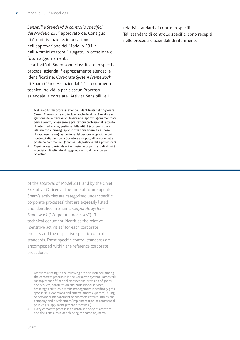*Sensibili e Standard di controllo specifici del Modello 231*" approvato dal Consiglio di Amministrazione, in occasione dell'approvazione del Modello 231, e dall'Amministratore Delegato, in occasione di futuri aggiornamenti.

Le attività di Snam sono classificate in specifici processi aziendali<sup>3</sup> espressamente elencati e identificati nel *Corporate System Framework* di Snam ("Processi aziendali")<sup>4</sup>. Il documento tecnico individua per ciascun Processo aziendale le correlate "Attività Sensibili" e i

- 3 Nell'ambito dei processi aziendali identificati nel *Corporate System Framework* sono incluse anche le attività relative a: gestione delle transazioni finanziarie, approvvigionamento di beni e servizi, consulenze e prestazioni professionali, attività di intermediazione, gestione delle utilità (con particolare riferimento a omaggi, sponsorizzazioni, liberalità e spese di rappresentanza), assunzione del personale, gestione dei contratti stipulati dalla Società e sviluppo/attuazione delle politiche commerciali ("processi di gestione delle provviste").
- 4 Ogni processo aziendale è un insieme organizzato di attività e decisioni finalizzate al raggiungimento di uno stesso obiettivo.

of the approval of Model 231, and by the Chief Executive Officer, at the time of future updates. Snam's activities are categorised under specific corporate processes<sup>3</sup> that are expressly listed and identified in Snam's *Corporate System Framework* ("Corporate processes")<sup>4</sup>. The technical document identifies the relative "sensitive activities" for each corporate process and the respective specific control standards. These specific control standards are encompassed within the reference corporate procedures.

4 Every corporate process is an organised body of activities and decisions aimed at achieving the same objective.

relativi standard di controllo specifici. Tali standard di controllo specifici sono recepiti nelle procedure aziendali di riferimento.

<sup>3</sup> Activities relating to the following are also included among the corporate processes in the Corporate System Framework: management of financial transactions, provision of goods and services, consultation and professional services, brokerage activities, benefits management (specifically gifts, sponsorship, donations and entertainment expenses), hiring of personnel, management of contracts entered into by the company, and development/implementation of commercial policies ("supply management processes").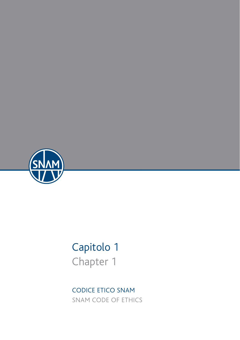

# Capitolo 1 Chapter 1

CODICE ETICO SNAM SNAM CODE OF ETHICS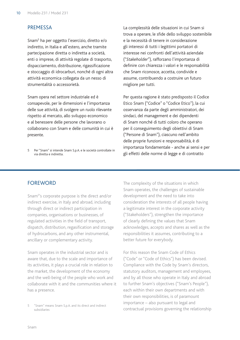# **PREMESSA**

Snam5 ha per oggetto l'esercizio, diretto e/o indiretto, in Italia e all'estero, anche tramite partecipazione diretta o indiretta a società, enti o imprese, di attività regolate di trasporto, dispacciamento, distribuzione, rigassificazione e stoccaggio di idrocarburi, nonché di ogni altra attività economica collegata da un nesso di strumentalità o accessorietà.

Snam opera nel settore industriale ed è consapevole, per le dimensioni e l'importanza delle sue attività, di svolgere un ruolo rilevante rispetto al mercato, allo sviluppo economico e al benessere delle persone che lavorano o collaborano con Snam e delle comunità in cui è presente.

La complessità delle situazioni in cui Snam si trova a operare, le sfide dello sviluppo sostenibile e la necessità di tenere in considerazione gli interessi di tutti i legittimi portatori di interesse nei confronti dell'attività aziendale ("*Stakeholder*"), rafforzano l'importanza di definire con chiarezza i valori e le responsabilità che Snam riconosce, accetta, condivide e assume, contribuendo a costruire un futuro migliore per tutti.

Per questa ragione è stato predisposto il Codice Etico Snam ("Codice" o "Codice Etico"), la cui osservanza da parte degli amministratori, dei sindaci, del management e dei dipendenti di Snam nonché di tutti coloro che operano per il conseguimento degli obiettivi di Snam ("Persone di Snam"), ciascuno nell'ambito delle proprie funzioni e responsabilità, è di importanza fondamentale - anche ai sensi e per gli effetti delle norme di legge e di contratto

# FOREWORD

Snam5 's corporate purpose is the direct and/or indirect exercise, in Italy and abroad, including through direct or indirect participation in companies, organisations or businesses, of regulated activities in the field of transport, dispatch, distribution, regasification and storage of hydrocarbons, and any other instrumental, ancillary or complementary activity.

Snam operates in the industrial sector and is aware that, due to the scale and importance of its activities, it plays a crucial role in relation to the market, the development of the economy and the well-being of the people who work and collaborate with it and the communities where it has a presence.

The complexity of the situations in which Snam operates, the challenges of sustainable development and the need to take into consideration the interests of all people having a legitimate interest in the corporate activity ("Stakeholders"), strengthen the importance of clearly defining the values that Snam acknowledges, accepts and shares as well as the responsibilities it assumes, contributing to a better future for everybody.

For this reason the Snam Code of Ethics ("Code" or "Code of Ethics") has been devised. Compliance with the Code by Snam's directors, statutory auditors, management and employees, and by all those who operate in Italy and abroad to further Snam's objectives ("Snam's People"), each within their own departments and with their own responsibilities, is of paramount importance – also pursuant to legal and contractual provisions governing the relationship

<sup>5</sup> Per "Snam" si intende Snam S.p.A. e le società controllate in via diretta e indiretta.

<sup>5</sup> "Snam" means Snam S.p.A. and its direct and indirect subsidiaries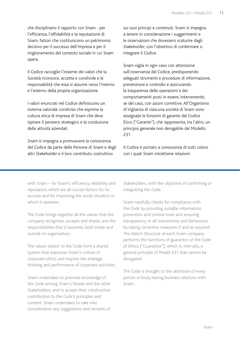che disciplinano il rapporto con Snam - per l'efficienza, l'affidabilità e la reputazione di Snam, fattori che costituiscono un patrimonio decisivo per il successo dell'impresa e per il miglioramento del contesto sociale in cui Snam opera.

Il Codice raccoglie l'insieme dei valori che la Società riconosce, accetta e condivide e le responsabilità che essa si assume verso l'interno e l'esterno della propria organizzazione.

I valori enunciati nel Codice definiscono un sistema valoriale condiviso che esprime la cultura etica di impresa di Snam che deve ispirare il pensiero strategico e la conduzione delle attività aziendali.

Snam si impegna a promuovere la conoscenza del Codice da parte delle Persone di Snam e degli altri *Stakeholder* e il loro contributo costruttivo

sui suoi principi e contenuti. Snam si impegna a tenere in considerazione i suggerimenti e le osservazioni che dovessero scaturire dagli *Stakeholder*, con l'obiettivo di confermare o integrare il Codice.

Snam vigila in ogni caso con attenzione sull'osservanza del Codice, predisponendo adeguati strumenti e procedure di informazione, prevenzione e controllo e assicurando la trasparenza delle operazioni e dei comportamenti posti in essere, intervenendo, se del caso, con azioni correttive. All'Organismo di Vigilanza di ciascuna società di Snam sono assegnate le funzioni di garante del Codice Etico ("Garante"), che rappresenta, tra l'altro, un principio generale non derogabile del Modello 231.

Il Codice è portato a conoscenza di tutti coloro con i quali Snam intrattiene relazioni.

with Snam – for Snam's efficiency, reliability and reputation, which are all crucial factors for its success and for improving the social situation in which it operates.

The Code brings together all the values that the company recognises, accepts and shares, and the responsibilities that it assumes, both inside and outside its organisation.

The values stated in the Code form a shared system that expresses Snam's culture of corporate ethics and inspires the strategic thinking and performance of corporate activities.

Snam undertakes to promote knowledge of the Code among Snam's People and the other Stakeholders, and to accept their constructive contribution to the Code's principles and content. Snam undertakes to take into consideration any suggestions and remarks of

Stakeholders, with the objective of confirming or integrating the Code.

Snam carefully checks for compliance with the Code by providing suitable information, prevention and control tools and ensuring transparency in all transactions and behaviours by taking corrective measures if and as required. The Watch Structure of each Snam company performs the functions of guarantor of the Code of Ethics ("Guarantor"), which is, *inter alia*, a general principle of Model 231 that cannot be derogated.

The Code is brought to the attention of every person or body having business relations with Snam.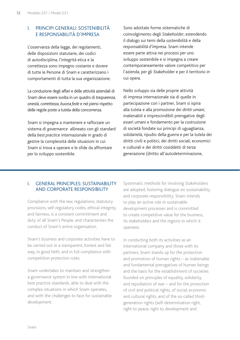# I. Principi generali: sostenibilità e responsabilità d'impresa

L'osservanza della legge, dei regolamenti, delle disposizioni statutarie, dei codici di autodisciplina, l'integrità etica e la correttezza sono impegno costante e dovere di tutte le Persone di Snam e caratterizzano i comportamenti di tutta la sua organizzazione.

La conduzione degli affari e delle attività aziendali di Snam deve essere svolta in un quadro di *trasparenza, onestà, correttezza, buona fede* e nel pieno rispetto delle regole poste a tutela della concorrenza.

Snam si impegna a mantenere e rafforzare un sistema di *governance* allineato con gli standard della *best practice* internazionale in grado di gestire la complessità delle situazioni in cui Snam si trova a operare e le sfide da affrontare per lo sviluppo sostenibile.

Sono adottate forme sistematiche di coinvolgimento degli *Stakeholder*, estendendo il dialogo sui temi della *sostenibilità* e della *responsabilità d'impresa*. Snam intende essere parte attiva nei processi per uno sviluppo sostenibile e si impegna a creare contemporaneamente valore competitivo per l'azienda, per gli Stakeholder e per il territorio in cui opera.

Nello sviluppo sia delle proprie attività di impresa internazionale sia di quelle in partecipazione con i partner, Snam si ispira alla tutela e alla promozione dei *diritti umani*, inalienabili e imprescindibili prerogative degli esseri umani e fondamento per la costruzione di società fondate sui principi di uguaglianza, solidarietà, ripudio della guerra e per la tutela dei diritti civili e politici, dei diritti sociali, economici e culturali e dei diritti cosiddetti di terza generazione (diritto all'autodeterminazione,

# I. General principles: sustainability and corporate responsibility

Compliance with the law, regulations, statutory provisions, self-regulatory codes, ethical integrity and fairness, is a constant commitment and duty of all Snam's People, and characterises the conduct of Snam's entire organisation.

Snam's business and corporate activities have to be carried out in a transparent, honest and fair way, in good faith, and in full compliance with competition protection rules.

Snam undertakes to maintain and strengthen a governance system in line with international best practice standards, able to deal with the complex situations in which Snam operates, and with the challenges to face for sustainable development.

Systematic methods for involving Stakeholders are adopted, fostering dialogue on sustainability and corporate responsibility. Snam intends to play an active role in sustainable development processes and is committed to create competitive value for the business, its stakeholders and the regions in which it operates.

In conducting both its activities as an international company and those with its partners, Snam stands up for the protection and promotion of human rights – as inalienable and fundamental prerogatives of human beings and the basis for the establishment of societies founded on principles of equality, solidarity, and repudiation of war – and for the protection of civil and political rights, of social, economic and cultural rights, and of the so-called thirdgeneration rights (self-determination right, right to peace, right to development and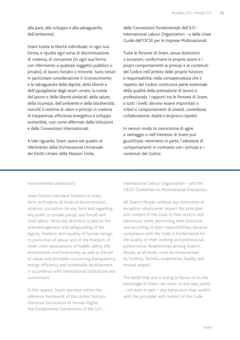alla pace, allo sviluppo e alla salvaguardia dell'ambiente).

Snam tutela la libertà individuale, in ogni sua forma, e ripudia ogni sorta di discriminazione, di violenza, di corruzione (in ogni sua forma con riferimento a qualsiasi soggetto pubblico o privato), di lavoro forzato o minorile. Sono tenuti in particolare considerazione il riconoscimento e la salvaguardia della *dignità*, della *libertà* e dell'*uguaglianza* degli esseri umani, la tutela del lavoro e delle *libertà sindacali*, della *salute*, della *sicurezza*, dell'*ambiente* e della *biodiversità*, nonché il sistema di valori e principi in materia di trasparenza, efficienza energetica e sviluppo sostenibile, così come affermati dalle Istituzioni e dalle Convenzioni Internazionali.

A tale riguardo, Snam opera nel quadro di riferimento della Dichiarazione Universale dei Diritti Umani delle Nazioni Unite,

delle Convenzioni fondamentali dell'ILO - International Labour Organization - e delle Linee Guida dell'OCSE per le Imprese Multinazionali.

Tutte le Persone di Snam, senza distinzioni o eccezioni, conformano le proprie azioni e i propri comportamenti ai principi e ai contenuti del Codice nell'ambito delle proprie funzioni e responsabilità, nella consapevolezza che il rispetto del Codice costituisce parte essenziale della qualità della prestazione di lavoro e professionale. I rapporti tra le Persone di Snam, a tutti i livelli, devono essere improntati a criteri e comportamenti di *onestà, correttezza, collaborazione, lealtà e reciproco rispetto*.

In nessun modo la convinzione di agire a vantaggio o nell'interesse di Snam può giustificare, nemmeno in parte, l'adozione di comportamenti in contrasto con i principi e i contenuti del Codice.

environmental protection).

Snam fosters individual freedom in every form, and rejects all kinds of discrimination, violence, corruption (in any form and regarding any public or private party), and forced and child labour. Particular attention is paid to the acknowledgement and safeguarding of the dignity, freedom and equality of human beings, to protection of labour and of the freedom of trade union associations, of health, safety, the environment and biodiversity, as well as the set of values and principles concerning transparency, energy efficiency and sustainable development, in accordance with international institutions and conventions.

In this respect, Snam operates within the reference framework of the United Nations Universal Declaration of Human Rights, the Fundamental Conventions of the ILO –

International Labour Organisation – and the OECD Guidelines on Multinational Enterprises.

All Snam's People, without any distinction or exception whatsoever, respect the principles and content of the Code in their actions and behaviours while performing their functions and according to their responsibilities, because compliance with the Code is fundamental for the quality of their working and professional performance. Relationships among Snam's People, at all levels, must be characterised by honesty, fairness, cooperation, loyalty and mutual respect*.*

The belief that one is acting in favour or to the advantage of Snam can never, in any way, justify – not even in part – any behaviours that conflict with the principles and content of the Code.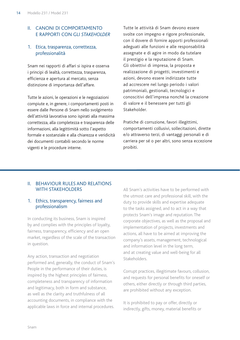# II. Canoni di comportamento e rapporti con gli *Stakeholder*

# 1. Etica, trasparenza, correttezza, professionalità

Snam nei rapporti di affari si ispira e osserva i principi di lealtà, correttezza, trasparenza, efficienza e apertura al mercato, senza distinzione di importanza dell'affare.

Tutte le azioni, le operazioni e le negoziazioni compiute e, in genere, i comportamenti posti in essere dalle Persone di Snam nello svolgimento dell'attività lavorativa sono ispirati alla massima correttezza, alla completezza e trasparenza delle informazioni, alla legittimità sotto l'aspetto formale e sostanziale e alla chiarezza e veridicità dei documenti contabili secondo le norme vigenti e le procedure interne.

Tutte le attività di Snam devono essere svolte con impegno e rigore professionale, con il dovere di fornire apporti professionali adeguati alle funzioni e alle responsabilità assegnate e di agire in modo da tutelare il prestigio e la reputazione di Snam. Gli obiettivi di impresa, la proposta e realizzazione di progetti, investimenti e azioni, devono essere indirizzate tutte ad accrescere nel lungo periodo i valori patrimoniali, gestionali, tecnologici e conoscitivi dell'impresa nonché la creazione di valore e il benessere per tutti gli Stakeholder.

Pratiche di corruzione, favori illegittimi, comportamenti collusivi, sollecitazioni, dirette e/o attraverso terzi, di vantaggi personali e di carriera per sé o per altri, sono senza eccezione proibiti.

#### II. Behaviour rules and relations WITH STAKEHOLDERS

# 1. Ethics, transparency, fairness and professionalism

In conducting its business, Snam is inspired by and complies with the principles of loyalty, fairness, transparency, efficiency and an open market, regardless of the scale of the transaction in question.

Any action, transaction and negotiation performed and, generally, the conduct of Snam's People in the performance of their duties, is inspired by the highest principles of fairness, completeness and transparency of information and legitimacy, both in form and substance, as well as the clarity and truthfulness of all accounting documents, in compliance with the applicable laws in force and internal procedures.

All Snam's activities have to be performed with the utmost care and professional skill, with the duty to provide skills and expertise adequate to the tasks assigned, and to act in a way that protects Snam's image and reputation. The corporate objectives, as well as the proposal and implementation of projects, investments and actions, all have to be aimed at improving the company's assets, management, technological and information level in the long term, and at creating value and well-being for all Stakeholders.

Corrupt practices, illegitimate favours, collusion, and requests for personal benefits for oneself or others, either directly or through third parties, are prohibited without any exception.

It is prohibited to pay or offer, directly or indirectly, gifts, money, material benefits or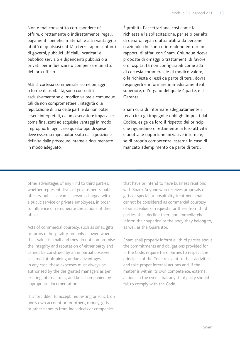Non è mai consentito corrispondere né offrire, direttamente o indirettamente, regali, pagamenti, benefici materiali e altri vantaggi o utilità di qualsiasi entità a terzi, rappresentanti di governi, pubblici ufficiali, incaricati di pubblico servizio e dipendenti pubblici o a privati, per influenzare o compensare un atto del loro ufficio.

Atti di cortesia commerciale, come omaggi o forme di ospitalità, sono consentiti esclusivamente se di modico valore e comunque tali da non compromettere l'integrità o la reputazione di una delle parti e da non poter essere interpretati, da un osservatore imparziale, come finalizzati ad acquisire vantaggi in modo improprio. In ogni caso questo tipo di spese deve essere sempre autorizzato dalla posizione definita dalle procedure interne e documentato in modo adeguato.

È proibita l'accettazione, così come la richiesta e la sollecitazione, per sé o per altri, di denaro, regali o altra utilità da persone o aziende che sono o intendono entrare in rapporti di affari con Snam. Chiunque riceva proposte di omaggi o trattamenti di favore o di ospitalità non configurabili come atti di cortesia commerciale di modico valore, o la richiesta di essi da parte di terzi, dovrà respingerli e informare immediatamente il superiore, o l'organo del quale è parte, e il Garante.

Snam cura di informare adeguatamente i terzi circa gli impegni e obblighi imposti dal Codice, esige da loro il rispetto dei principi che riguardano direttamente la loro attività e adotta le opportune iniziative interne e, se di propria competenza, esterne in caso di mancato adempimento da parte di terzi.

other advantages of any kind to third parties, whether representatives of governments, public officers, public servants, persons charged with a public service or private employees, in order to influence or remunerate the actions of their office.

Acts of commercial courtesy, such as small gifts or forms of hospitality, are only allowed when their value is small and they do not compromise the integrity and reputation of either party and cannot be construed by an impartial observer as aimed at obtaining undue advantages. In any case, these expenses must always be authorised by the designated managers as per existing internal rules, and be accompanied by appropriate documentation.

It is forbidden to accept, requesting or solicit, on one's own account or for others, money, gifts or other benefits from individuals or companies

that have or intend to have business relations with Snam. Anyone who receives proposals of gifts or special or hospitality treatment that cannot be considered as commercial courtesy of small value, or requests for these from third parties, shall decline them and immediately inform their superior, or the body they belong to, as well as the Guarantor.

Snam shall properly inform all third parties about the commitments and obligations provided for in the Code, require third parties to respect the principles of the Code relevant to their activities and take proper internal actions and, if the matter is within its own competence, external actions in the event that any third party should fail to comply with the Code.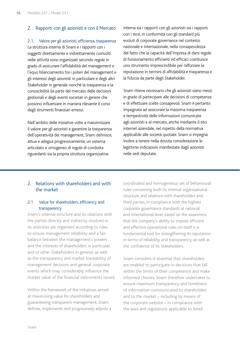# 2. Rapporti con gli azionisti e con il Mercato

2.1. Valore per gli azionisti, efficienza, trasparenza La struttura interna di Snam e i rapporti con i soggetti direttamente e indirettamente coinvolti nelle attività sono organizzati secondo regole in grado di assicurare l'affidabilità del management e l'equo bilanciamento tra i poteri del management e gli interessi degli azionisti in particolare e degli altri Stakeholder in generale nonché la trasparenza e la conoscibilità da parte del mercato delle decisioni gestionali e degli eventi societari in genere che possono influenzare in maniera rilevante il corso degli strumenti finanziari emessi.

Nell'ambito delle iniziative volte a massimizzare il valore per gli azionisti e garantire la trasparenza dell'operatività del management, Snam definisce, attua e adegua progressivamente, un sistema articolato e omogeneo di regole di condotta riguardanti sia la propria struttura organizzativa

interna sia i rapporti con gli azionisti sia i rapporti con i terzi, in conformità con gli standard più evoluti di corporate governance nel contesto nazionale e internazionale, nella consapevolezza del fatto che la capacità dell'impresa di darsi regole di funzionamento efficienti ed efficaci costituisce uno strumento imprescindibile per rafforzare la reputazione in termini di affidabilità e trasparenza e la fiducia da parte degli Stakeholder.

Snam ritiene necessario che gli azionisti siano messi in grado di partecipare alle decisioni di competenza e di effettuare scelte consapevoli. Snam è pertanto impegnata ad assicurare la massima trasparenza e tempestività delle informazioni comunicate agli azionisti e al mercato, anche mediante il sito internet aziendale, nel rispetto della normativa applicabile alle società quotate. Snam si impegna inoltre a tenere nella dovuta considerazione le legittime indicazioni manifestate dagli azionisti nelle sedi deputate.

# 2. Relations with shareholders and with the market

## 2.1. Value for shareholders, efficiency and transparency

Snam's internal structure and its relations with the parties directly and indirectly involved in its activities are organised according to rules to ensure management reliability and a fair balance between the management's powers and the interests of shareholders in particular, and of other Stakeholders in general, as well as the transparency and market traceability of management decisions and general corporate events which may considerably influence the market value of the financial instruments issued.

Within the framework of the initiatives aimed at maximising value for shareholders and guaranteeing transparent management, Snam defines, implements and progressively adjusts a

coordinated and homogeneous set of behavioural rules concerning both its internal organisational structure and relations with shareholders and third parties, in compliance with the highest corporate governance standards at national and international level, based on the awareness that the company's ability to impose efficient and effective operational rules on itself is a fundamental tool for strengthening its reputation in terms of reliability and transparency, as well as the confidence of its Stakeholders.

Snam considers it essential that shareholders are enabled to participate in decisions that fall within the limits of their competence and make informed choices. Snam therefore undertakes to ensure maximum transparency and timeliness of information communicated to shareholders and to the market – including by means of the corporate website – in compliance with the laws and regulations applicable to listed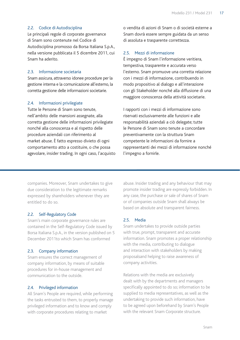#### 2.2. Codice di Autodisciplina

Le principali regole di corporate governance di Snam sono contenute nel Codice di Autodisciplina promosso da Borsa Italiana S.p.A., nella versione pubblicata il 5 dicembre 2011, cui Snam ha aderito.

#### 2.3. Informazione societaria

Snam assicura, attraverso idonee procedure per la gestione interna e la comunicazione all'esterno, la corretta gestione delle informazioni societarie.

#### 2.4. Informazioni privilegiate

Tutte le Persone di Snam sono tenute, nell'ambito delle mansioni assegnate, alla corretta gestione delle informazioni privilegiate nonché alla conoscenza e al rispetto delle procedure aziendali con riferimento al market abuse. È fatto espresso divieto di ogni comportamento atto a costituire, o che possa agevolare, insider trading. In ogni caso, l'acquisto o vendita di azioni di Snam o di società esterne a Snam dovrà essere sempre guidata da un senso di assoluta e trasparente correttezza.

#### 2.5. Mezzi di informazione

È impegno di Snam l'informazione veritiera, tempestiva, trasparente e accurata verso l'esterno. Snam promuove una corretta relazione con i mezzi di informazione, contribuendo in modo propositivo al dialogo e all'interazione con gli Stakeholder nonché alla diffusione di una maggiore conoscenza della attività societarie.

I rapporti con i mezzi di informazione sono riservati esclusivamente alle funzioni e alle responsabilità aziendali a ciò delegate; tutte le Persone di Snam sono tenute a concordare preventivamente con la struttura Snam competente le informazioni da fornire a rappresentanti dei mezzi di informazione nonché l'impegno a fornirle.

companies. Moreover, Snam undertakes to give due consideration to the legitimate remarks expressed by shareholders whenever they are entitled to do so.

#### 2.2. Self-Regulatory Code

Snam's main corporate governance rules are contained in the Self-Regulatory Code issued by Borsa Italiana S.p.A., in the version published on 5 December 2011to which Snam has conformed

#### 2.3. Company information

Snam ensures the correct management of company information, by means of suitable procedures for in-house management and communication to the outside.

# 2.4. Privileged information

All Snam's People are required, while performing the tasks entrusted to them, to properly manage privileged information and to know and comply with corporate procedures relating to market

abuse. Insider trading and any behaviour that may promote insider trading are expressly forbidden. In any case, the purchase or sale of shares of Snam or of companies outside Snam shall always be based on absolute and transparent fairness.

#### 2.5. Media

Snam undertakes to provide outside parties with true, prompt, transparent and accurate information. Snam promotes a proper relationship with the media, contributing to dialogue and interaction with stakeholders by making proposalsand helping to raise awareness of company activities.

Relations with the media are exclusively dealt with by the departments and managers specifically appointed to do so; information to be supplied to media representatives, as well as the undertaking to provide such information, have to be agreed upon beforehand by Snam's People with the relevant Snam Corporate structure.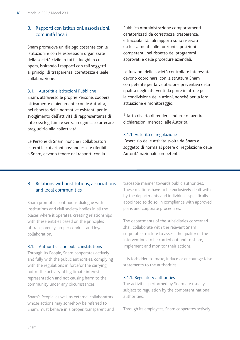# 3. Rapporti con istituzioni, associazioni, comunità locali

Snam promuove un dialogo costante con le Istituzioni e con le espressioni organizzate della società civile in tutti i luoghi in cui opera, ispirando i rapporti con tali soggetti ai principi di trasparenza, correttezza e leale collaborazione.

#### 3.1. Autorità e Istituzioni Pubbliche

Snam, attraverso le proprie Persone, coopera attivamente e pienamente con le Autorità, nel rispetto delle normative esistenti per lo svolgimento dell'attività di rappresentanza di interessi legittimi e senza in ogni caso arrecare pregiudizio alla collettività.

Le Persone di Snam, nonché i collaboratori esterni le cui azioni possano essere riferibili a Snam, devono tenere nei rapporti con la

Pubblica Amministrazione comportamenti caratterizzati da correttezza, trasparenza, e tracciabilità. Tali rapporti sono riservati esclusivamente alle funzioni e posizioni competenti, nel rispetto dei programmi approvati e delle procedure aziendali.

Le funzioni delle società controllate interessate devono coordinarsi con la struttura Snam competente per la valutazione preventiva della qualità degli interventi da porre in atto e per la condivisione delle azioni, nonché per la loro attuazione e monitoraggio.

È fatto divieto di rendere, indurre o favorire dichiarazioni mendaci alle Autorità.

#### 3.1.1. Autorità di regolazione

L'esercizio delle attività svolte da Snam è soggetto di norma al potere di regolazione delle Autorità nazionali competenti.

# 3. Relations with institutions, associations and local communities

Snam promotes continuous dialogue with institutions and civil society bodies in all the places where it operates, creating relationships with these entities based on the principles of transparency, proper conduct and loyal collaboration.

#### 3.1. Authorities and public institutions

Through its People, Snam cooperates actively and fully with the public authorities, complying with the regulations in forcefor the carrying out of the activity of legitimate interests representation and not causing harm to the community under any circumstances.

Snam's People, as well as external collaborators whose actions may somehow be referred to Snam, must behave in a proper, transparent and traceable manner towards public authorities. These relations have to be exclusively dealt with by the departments and individuals specifically appointed to do so, in compliance with approved plans and corporate procedures.

The departments of the subsidiaries concerned shall collaborate with the relevant Snam corporate structure to assess the quality of the interventions to be carried out and to share, implement and monitor their actions.

It is forbidden to make, induce or encourage false statements to the authorities.

#### 3.1.1. Regulatory authorities

The activities performed by Snam are usually subject to regulation by the competent national authorities.

Through its employees, Snam cooperates actively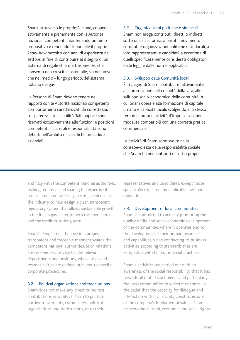Snam, attraverso le proprie Persone, coopera attivamente e pienamente con le Autorità nazionali competenti, mantenendo un ruolo propositivo e rendendo disponibile il proprio *know-how* raccolto con anni di esperienza nel settore, al fine di contribuire al disegno di un sistema di regole chiaro e trasparente, che consenta una crescita sostenibile, sia nel breve che nel medio - lungo periodo, del sistema italiano del gas.

Le Persone di Snam devono tenere nei rapporti con le Autorità nazionali competenti comportamenti caratterizzati da correttezza, trasparenza e tracciabilità. Tali rapporti sono riservati esclusivamente alle funzioni e posizioni competenti, i cui ruoli e responsabilità sono definiti nell'ambito di specifiche procedure aziendali.

# 3.2. Organizzazioni politiche e sindacali

Snam non eroga contributi, diretti o indiretti, sotto qualsiasi forma, a partiti, movimenti, comitati e organizzazioni politiche e sindacali, a loro rappresentanti e candidati, a eccezione di quelli specificatamente considerati obbligatori dalle leggi e dalle norme applicabili.

#### 3.3. Sviluppo delle Comunità locali

È impegno di Snam contribuire fattivamente alla promozione della qualità della vita, allo sviluppo socio-economico delle comunità in cui Snam opera e alla formazione di capitale umano e capacità locali, svolgendo allo stesso tempo le proprie attività d'impresa secondo modalità compatibili con una corretta pratica commerciale.

Le attività di Snam sono svolte nella consapevolezza della responsabilità sociale che Snam ha nei confronti di tutti i propri

and fully with the competent national authorities, making proposals and sharing the expertise it has accumulated over its years of experience in the industry, to help design a clear, transparent regulatory system that allows sustainable growth in the Italian gas sector, in both the short term and the medium-to-long term.

Snam's People must behave in a proper, transparent and traceable manner towards the competent national authorities. Such relations are reserved exclusively for the relevant departments and positions, whose roles and responsibilities are defined pursuant to specific corporate procedures.

#### 3.2. Political organisations and trade unions

Snam does not make any direct or indirect contributions in whatever form to political parties, movements, committees, political organisations and trade unions, or to their

representatives and candidates, except those specifically expected by applicable laws and regulations.

#### 3.3. Development of local communities

Snam is committed to actively promoting the quality of life and socio-economic development of the communities where it operates and to the development of their human resources and capabilities, while conducting its business activities according to standards that are compatible with fair commercial practices.

Snam's activities are carried out with an awareness of the social responsibility that it has towards all of its Stakeholders, and particularly the local communities in which it operates, in the belief that the capacity for dialogue and interaction with civil society constitutes one of the company's fundamental values. Snam respects the cultural, economic and social rights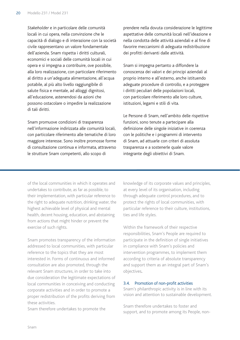*Stakeholder* e in particolare delle comunità locali in cui opera, nella convinzione che le capacità di dialogo e di interazione con la società civile rappresentano un valore fondamentale dell'azienda. Snam rispetta i diritti culturali, economici e sociali delle comunità locali in cui opera e si impegna a contribuire, ove possibile, alla loro realizzazione, con particolare riferimento al diritto a un'adeguata alimentazione, all'acqua potabile, al più alto livello raggiungibile di salute fisica e mentale, ad alloggi dignitosi, all'educazione, astenendosi da azioni che possono ostacolare o impedire la realizzazione di tali diritti.

Snam promuove condizioni di trasparenza nell'informazione indirizzata alle comunità locali, con particolare riferimento alle tematiche di loro maggiore interesse. Sono inoltre promosse forme di consultazione continua e informata, attraverso le strutture Snam competenti, allo scopo di

prendere nella dovuta considerazione le legittime aspettative delle comunità locali nell'ideazione e nella condotta delle attività aziendali e al fine di favorire meccanismi di adeguata redistribuzione dei profitti derivanti dalle attività.

Snam si impegna pertanto a diffondere la conoscenza dei valori e dei principi aziendali al proprio interno e all'esterno, anche istituendo adeguate procedure di controllo, e a proteggere i diritti peculiari delle popolazioni locali, con particolare riferimento alle loro culture, istituzioni, legami e stili di vita.

Le Persone di Snam, nell'ambito delle rispettive funzioni, sono tenute a partecipare alla definizione delle singole iniziative in coerenza con le politiche e i programmi di intervento di Snam, ad attuarle con criteri di assoluta trasparenza e a sostenerle quale valore integrante degli obiettivi di Snam.

of the local communities in which it operates and undertakes to contribute, as far as possible, to their implementation, with particular reference to the right to adequate nutrition, drinking water, the highest achievable level of physical and mental health, decent housing, education, and abstaining from actions that might hinder or prevent the exercise of such rights.

Snam promotes transparency of the information addressed to local communities, with particular reference to the topics that they are most interested in. Forms of continuous and informed consultation are also promoted, through the relevant Snam structures, in order to take into due consideration the legitimate expectations of local communities in conceiving and conducting corporate activities and in order to promote a proper redistribution of the profits deriving from these activities.

Snam therefore undertakes to promote the

knowledge of its corporate values and principles, at every level of its organisation, including through adequate control procedures, and to protect the rights of local communities, with particular reference to their culture, institutions, ties and life styles.

Within the framework of their respective responsibilities, Snam's People are required to participate in the definition of single initiatives in compliance with Snam's policies and intervention programmes, to implement them according to criteria of absolute transparency and support them as an integral part of Snam's objectives.

#### 3.4. Promotion of non-profit activities

Snam's philanthropic activity is in line with its vision and attention to sustainable development.

Snam therefore undertakes to foster and support, and to promote among its People, non-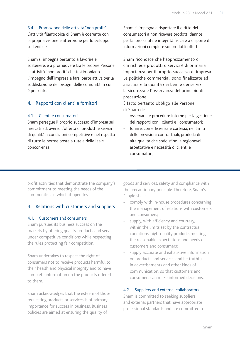# 3.4. Promozione delle attività "non profit"

L'attività filantropica di Snam è coerente con la propria visione e attenzione per lo sviluppo sostenibile.

Snam si impegna pertanto a favorire e sostenere, e a promuovere tra le proprie Persone, le attività "non profit" che testimoniano l'impegno dell'impresa a farsi parte attiva per la soddisfazione dei bisogni delle comunità in cui è presente.

# 4. Rapporti con clienti e fornitori

#### 4.1. Clienti e consumatori

Snam persegue il proprio successo d'impresa sui mercati attraverso l'offerta di prodotti e servizi di qualità a condizioni competitive e nel rispetto di tutte le norme poste a tutela della leale concorrenza.

Snam si impegna a rispettare il diritto dei consumatori a non ricevere prodotti dannosi per la loro salute e integrità fisica e a disporre di informazioni complete sui prodotti offerti.

Snam riconosce che l'apprezzamento di chi richiede prodotti o servizi è di primaria importanza per il proprio successo di impresa. Le politiche commerciali sono finalizzate ad assicurare la qualità dei beni e dei servizi, la sicurezza e l'osservanza del principio di precauzione.

È fatto pertanto obbligo alle Persone di Snam di:

- osservare le procedure interne per la gestione dei rapporti con i clienti e i consumatori;
- fornire, con efficienza e cortesia, nei limiti delle previsioni contrattuali, prodotti di alta qualità che soddisfino le ragionevoli aspettative e necessità di clienti e consumatori;

profit activities that demonstrate the company's commitment to meeting the needs of the communities in which it operates.

# 4. Relations with customers and suppliers

#### 4.1. Customers and consumers

Snam pursues its business success on the markets by offering quality products and services under competitive conditions while respecting the rules protecting fair competition.

Snam undertakes to respect the right of consumers not to receive products harmful to their health and physical integrity and to have complete information on the products offered to them.

Snam acknowledges that the esteem of those requesting products or services is of primary importance for success in business. Business policies are aimed at ensuring the quality of

goods and services, safety and compliance with the precautionary principle. Therefore, Snam's People shall:

- comply with in-house procedures concerning the management of relations with customers and consumers;
- supply, with efficiency and courtesy, within the limits set by the contractual conditions, high-quality products meeting the reasonable expectations and needs of customers and consumers;
- supply accurate and exhaustive information on products and services and be truthful in advertisements and other kinds of communication, so that customers and consumers can make informed decisions.

#### 4.2. Suppliers and external collaborators

Snam is committed to seeking suppliers and external partners that have appropriate professional standards and are committed to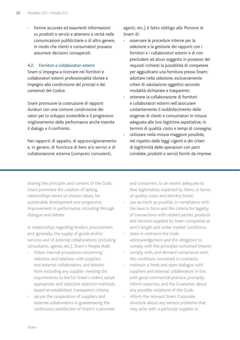fornire accurate ed esaurienti informazioni su prodotti e servizi e attenersi a verità nelle comunicazioni pubblicitarie o di altro genere, in modo che clienti e consumatori possano assumere decisioni consapevoli.

#### 4.2. Fornitori e collaboratori esterni

Snam si impegna a ricercare nei fornitori e collaboratori esterni professionalità idonee e impegno alla condivisione dei principi e dei contenuti del Codice.

Snam promuove la costruzione di rapporti duraturi con una comune condivisione dei valori per lo sviluppo sostenibile e il progressivo miglioramento delle performance anche tramite il dialogo e il confronto.

Nei rapporti di appalto, di approvvigionamento e, in genere, di fornitura di beni e/o servizi e di collaborazione esterna (compresi consulenti,

agenti, etc.) è fatto obbligo alle Persone di Snam di:

- osservare le procedure interne per la selezione e la gestione dei rapporti con i fornitori e i collaboratori esterni e di non precludere ad alcun soggetto in possesso dei requisiti richiesti la possibilità di competere per aggiudicarsi una fornitura presso Snam; adottare nella selezione, esclusivamente criteri di valutazione oggettivi secondo modalità dichiarate e trasparenti;
- ottenere la collaborazione di fornitori e collaboratori esterni nell'assicurare costantemente il soddisfacimento delle esigenze di clienti e consumatori in misura adeguata alle loro legittime aspettative, in termini di qualità, costo e tempi di consegna;
- utilizzare nella misura maggiore possibile, nel rispetto delle leggi vigenti e dei criteri di legittimità delle operazioni con parti correlate, prodotti e servizi forniti da imprese

sharing the principles and content of the Code. Snam promotes the creation of lasting relationships based on shared values, for sustainable development and progressive improvement in performance, including through dialogue and debate.

In relationships regarding tenders, procurement and, generally, the supply of goods and/or services and of external collaborations (including consultants, agents, etc.), Snam's People shall:

- follow internal procedures concerning selection and relations with suppliers and external collaborators, and abstain from excluding any supplier meeting the requirements to bid for Snam's orders; adopt appropriate and objective selection methods, based on established, transparent criteria;
- secure the cooperation of suppliers and external collaborators in guaranteeing the continuous satisfaction of Snam's customers

and consumers, to an extent adequate to that legitimately expected by them, in terms of quality, costs and delivery times;

- use as much as possible, in compliance with the laws in force and the criteria for legality of transactions with related parties, products and services supplied by Snam companies at arm's length and under market conditions;
- state in contracts the Code acknowledgement and the obligation to comply with the principles contained therein;
- comply with, and demand compliance with, the conditions contained in contracts;
- maintain a frank and open dialogue with suppliers and external collaborators in line with good commercial practice; promptly inform superiors, and the Guarantor, about any possible violations of the Code;
- inform the relevant Snam Corporate structure about any serious problems that may arise with a particular supplier or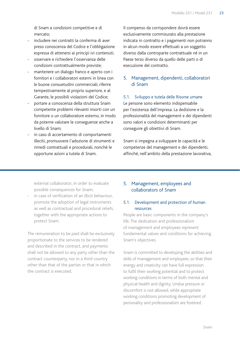di Snam a condizioni competitive e di mercato;

- includere nei contratti la conferma di aver preso conoscenza del Codice e l'obbligazione espressa di attenersi ai principi ivi contenuti;
- osservare e richiedere l'osservanza delle condizioni contrattualmente previste;
- mantenere un dialogo franco e aperto con i fornitori e i collaboratori esterni in linea con le buone consuetudini commerciali; riferire tempestivamente al proprio superiore, e al Garante, le possibili violazioni del Codice;
- portare a conoscenza della struttura Snam competente problemi rilevanti insorti con un fornitore o un collaboratore esterno, in modo da poterne valutare le conseguenze anche a livello di Snam;
- in caso di accertamento di comportamenti illeciti, promuovere l'adozione di strumenti e rimedi contrattuali e procedurali, nonché le opportune azioni a tutela di Snam.

Il compenso da corrispondere dovrà essere esclusivamente commisurato alla prestazione indicata in contratto e i pagamenti non potranno in alcun modo essere effettuati a un soggetto diverso dalla controparte contrattuale né in un Paese terzo diverso da quello delle parti o di esecuzione del contratto.

# 5. Management, dipendenti, collaboratori di Snam

#### 5.1. Sviluppo e tutela delle Risorse umane

Le persone sono elemento indispensabile per l'esistenza dell'impresa. La dedizione e la professionalità del management e dei dipendenti sono valori e condizioni determinanti per conseguire gli obiettivi di Snam.

Snam si impegna a sviluppare le capacità e le competenze del management e dei dipendenti, affinché, nell'ambito della prestazione lavorativa,

external collaborator, in order to evaluate possible consequences for Snam;

in case of verification of an illicit behaviour. promote the adoption of legal instruments as well as contractual and procedural reliefs, together with the appropriate actions to protect Snam.

The remuneration to be paid shall be exclusively proportionate to the services to be rendered and described in the contract, and payments shall not be allowed to any party other than the contract counterparty, nor in a third country other than that of the parties or that in which the contract is executed.

# 5. Management, employees and collaborators of Snam

# 5.1. Development and protection of human resources

People are basic components in the company's life. The dedication and professionalism of management and employees represent fundamental values and conditions for achieving Snam's objectives.

Snam is committed to developing the abilities and skills of management and employees, so that their energy and creativity can have full expression to fulfil their working potential and to protect working conditions in terms of both mental and physical health and dignity. Undue pressure or discomfort is not allowed, while appropriate working conditions promoting development of personality and professionalism are fostered.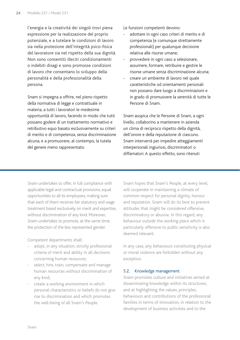l'energia e la creatività dei singoli trovi piena espressione per la realizzazione del proprio potenziale, e a tutelare le condizioni di lavoro sia nella protezione dell'integrità psico-fisica del lavoratore sia nel rispetto della sua dignità. Non sono consentiti illeciti condizionamenti o indebiti disagi e sono promosse condizioni di lavoro che consentano lo sviluppo della personalità e della professionalità della persona.

Snam si impegna a offrire, nel pieno rispetto della normativa di legge e contrattuale in materia, a tutti i lavoratori le medesime opportunità di lavoro, facendo in modo che tutti possano godere di un trattamento normativo e retributivo equo basato esclusivamente su criteri di merito e di competenza, senza discriminazione alcuna, e a promuovere, al contempo, la tutela del genere meno rappresentato.

Le funzioni competenti devono:

- adottare in ogni caso criteri di merito e di competenza (e comunque strettamente professionali) per qualunque decisione relativa alle risorse umane;
- provvedere in ogni caso a selezionare, assumere, formare, retribuire e gestire le risorse umane senza discriminazione alcuna;
- creare un ambiente di lavoro nel quale caratteristiche od orientamenti personali non possano dare luogo a discriminazioni e in grado di promuovere la serenità di tutte le Persone di Snam.

Snam auspica che le Persone di Snam, a ogni livello, collaborino a mantenere in azienda un clima di reciproco rispetto della dignità, dell'onore e della reputazione di ciascuno. Snam interverrà per impedire atteggiamenti interpersonali ingiuriosi, discriminatori o diffamatori. A questo effetto, sono ritenuti

Snam undertakes to offer, in full compliance with applicable legal and contractual provisions, equal opportunities to all its employees, making sure that each of them receives fair statutory and wage treatment based exclusively on merit and expertise, without discrimination of any kind. Moreover, Snam undertakes to promote, at the same time, the protection of the less represented gender.

Competent departments shall:

- adopt, in any situation, strictly professional criteria of merit and ability in all decisions concerning human resources;
- select, hire, train, compensate and manage human resources without discrimination of any kind;
- create a working environment in which personal characteristics or beliefs do not give rise to discrimination and which promotes the well-being of all Snam's People.

Snam hopes that Snam's People, at every level, will cooperate in maintaining a climate of common respect for personal dignity, honour and reputation. Snam will do its best to prevent attitudes that might be considered offensive, discriminatory or abusive. In this regard, any behaviour outside the working place which is particularly offensive to public sensitivity is also deemed relevant.

In any case, any behaviours constituting physical or moral violence are forbidden without any exception.

#### 5.2. Knowledge management

Snam promotes culture and initiatives aimed at disseminating knowledge within its structures, and at highlighting the values, principles, behaviours and contributions of the professional families in terms of innovation, in relation to the development of business activities and to the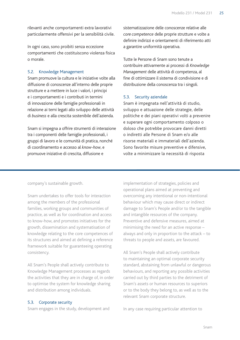rilevanti anche comportamenti extra lavorativi particolarmente offensivi per la sensibilità civile.

In ogni caso, sono proibiti senza eccezione comportamenti che costituiscono violenza fisica o morale.

#### 5.2. Knowledge Management

Snam promuove la cultura e le iniziative volte alla diffusione di conoscenze all'interno delle proprie strutture e a mettere in luce i valori, i principi e i comportamenti e i contributi in termini di innovazione delle famiglie professionali in relazione ai temi legati allo sviluppo delle attività di *business* e alla crescita sostenibile dell'azienda.

Snam si impegna a offrire strumenti di interazione tra i componenti delle famiglie professionali, i gruppi di lavoro e le comunità di pratica, nonché di coordinamento e accesso al *know-how*, e promuove iniziative di crescita, diffusione e

sistematizzazione delle conoscenze relative alle *core competence* delle proprie strutture e volte a definire indirizzi e orientamenti di riferimento atti a garantire uniformità operativa.

Tutte le Persone di Snam sono tenute a contribuire attivamente ai processi di *Knowledge Management* delle attività di competenza, al fine di ottimizzare il sistema di condivisione e di distribuzione della conoscenza tra i singoli.

#### 5.3. Security aziendale

Snam è impegnata nell'attività di studio, sviluppo e attuazione delle strategie, delle politiche e dei piani operativi volti a prevenire e superare ogni comportamento colposo o doloso che potrebbe provocare danni diretti o indiretti alle Persone di Snam e/o alle risorse materiali e immateriali dell'azienda. Sono favorite misure preventive e difensive, volte a minimizzare la necessità di risposta

company's sustainable growth.

Snam undertakes to offer tools for interaction among the members of the professional families, working groups and communities of practice, as well as for coordination and access to know-how, and promotes initiatives for the growth, dissemination and systematisation of knowledge relating to the core competences of its structures and aimed at defining a reference framework suitable for guaranteeing operating consistency.

All Snam's People shall actively contribute to Knowledge Management processes as regards the activities that they are in charge of, in order to optimise the system for knowledge sharing and distribution among individuals.

#### 5.3. Corporate security

Snam engages in the study, development and

implementation of strategies, policies and operational plans aimed at preventing and overcoming any intentional or non-intentional behaviour which may cause direct or indirect damage to Snam's People and/or to the tangible and intangible resources of the company. Preventive and defensive measures, aimed at minimising the need for an active response – always and only in proportion to the attack – to threats to people and assets, are favoured.

All Snam's People shall actively contribute to maintaining an optimal corporate security standard, abstaining from unlawful or dangerous behaviours, and reporting any possible activities carried out by third parties to the detriment of Snam's assets or human resources to superiors or to the body they belong to, as well as to the relevant Snam corporate structure.

In any case requiring particular attention to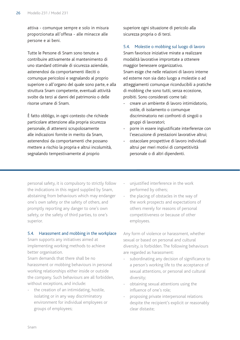attiva - comunque sempre e solo in misura proporzionata all'offesa - alle minacce alle persone e ai beni.

Tutte le Persone di Snam sono tenute a contribuire attivamente al mantenimento di uno standard ottimale di sicurezza aziendale, astenendosi da comportamenti illeciti o comunque pericolosi e segnalando al proprio superiore o all'organo del quale sono parte, e alla struttura Snam competente, eventuali attività svolte da terzi ai danni del patrimonio o delle risorse umane di Snam.

è fatto obbligo, in ogni contesto che richiede particolare attenzione alla propria sicurezza personale, di attenersi scrupolosamente alle indicazioni fornite in merito da Snam, astenendosi da comportamenti che possano mettere a rischio la propria e altrui incolumità, segnalando tempestivamente al proprio

superiore ogni situazione di pericolo alla sicurezza propria o di terzi.

#### 5.4. Molestie o mobbing sul luogo di lavoro

Snam favorisce iniziative mirate a realizzare modalità lavorative improntate a ottenere maggior benessere organizzativo. Snam esige che nelle relazioni di lavoro interne ed esterne non sia dato luogo a molestie o ad atteggiamenti comunque riconducibili a pratiche di mobbing che sono tutti, senza eccezione, proibiti. Sono considerati come tali:

- creare un ambiente di lavoro intimidatorio, ostile, di isolamento o comunque discriminatorio nei confronti di singoli o gruppi di lavoratori;
- porre in essere ingiustificate interferenze con l'esecuzione di prestazioni lavorative altrui;
- ostacolare prospettive di lavoro individuali altrui per meri motivi di competitività personale o di altri dipendenti.

personal safety, it is compulsory to strictly follow the indications in this regard supplied by Snam, abstaining from behaviours which may endanger one's own safety or the safety of others, and promptly reporting any danger to one's own safety, or the safety of third parties, to one's superior.

#### 5.4. Harassment and mobbing in the workplace

Snam supports any initiatives aimed at implementing working methods to achieve better organisation.

Snam demands that there shall be no harassment or mobbing behaviours in personal working relationships either inside or outside the company. Such behaviours are all forbidden, without exceptions, and include:

the creation of an intimidating, hostile, isolating or in any way discriminatory environment for individual employees or groups of employees;

- unjustified interference in the work performed by others;
- the placing of obstacles in the way of the work prospects and expectations of others merely for reasons of personal competitiveness or because of other employees.

Any form of violence or harassment, whether sexual or based on personal and cultural diversity, is forbidden. The following behaviours are regarded as harassment:

- subordinating any decision of significance to a person's working life to the acceptance of sexual attentions, or personal and cultural diversity;
- obtaining sexual attentions using the influence of one's role;
- proposing private interpersonal relations despite the recipient's explicit or reasonably clear distaste;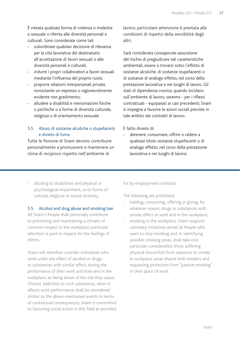È vietata qualsiasi forma di violenza o molestia o sessuale o riferita alle diversità personali e culturali. Sono considerate come tali:

- subordinare qualsiasi decisione di rilevanza per la vita lavorativa del destinatario all'accettazione di favori sessuali o alle diversità personali e culturali;
- indurre i propri collaboratori a favori sessuali mediante l'influenza del proprio ruolo;
- proporre relazioni interpersonali private, nonostante un espresso o ragionevolmente evidente non gradimento;
- alludere a disabilità e menomazioni fisiche o psichiche o a forme di diversità culturale, religiosa o di orientamento sessuale.

# 5.5. Abuso di sostanze alcoliche o stupefacenti e divieto di fumo

Tutte le Persone di Snam devono contribuire personalmente a promuovere e mantenere un clima di reciproco rispetto nell'ambiente di

lavoro; particolare attenzione è prestata alle condizioni di rispetto della sensibilità degli altri.

Sarà considerata consapevole assunzione del rischio di pregiudicare tali caratteristiche ambientali, essere o trovarsi sotto l'effetto di sostanze alcoliche, di sostanze stupefacenti o di sostanze di analogo effetto, nel corso della prestazione lavorativa e nei luoghi di lavoro. Gli stati di dipendenza cronica, quando incidano sull'ambiente di lavoro, saranno - per i riflessi contrattuali - equiparati ai casi precedenti; Snam si impegna a favorire le azioni sociali previste in tale ambito dai contratti di lavoro.

È fatto divieto di:

- detenere, consumare, offrire o cedere a qualsiasi titolo sostanze stupefacenti o di analogo effetto, nel corso della prestazione lavorativa e nei luoghi di lavoro;
- alluding to disabilities and physical or psychological impairment, or to forms of cultural, religious or sexual diversity.

#### 5.5. Alcohol and drug abuse and smoking ban

All Snam's People shall personally contribute to promoting and maintaining a climate of common respect in the workplace; particular attention is paid to respect for the feelings of others.

Snam will therefore consider individuals who work under the effect of alcohol or drugs, or substances with similar effect, during the performance of their work activities and in the workplace, as being aware of the risk they cause. Chronic addiction to such substances, when it affects work performance, shall be considered similar to the above-mentioned events in terms of contractual consequences; Snam is committed to favouring social action in this field as provided for by employment contracts.

The following are prohibited:

- holding, consuming, offering or giving, for whatever reason, drugs or substances with similar effect at work and in the workplace;
- smoking in the workplace. Snam supports voluntary initiatives aimed at People who want to stop smoking and, in identifying possible smoking areas, shall take into particular consideration those suffering physical discomfort from exposure to smoke in workplace areas shared with smokers and requesting protection from "passive smoking" in their place of work.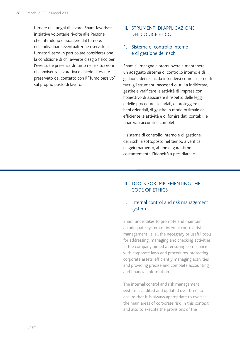fumare nei luoghi di lavoro. Snam favorisce iniziative volontarie rivolte alle Persone che intendono dissuadere dal fumo e, nell'individuare eventuali zone riservate ai fumatori, terrà in particolare considerazione la condizione di chi avverte disagio fisico per l'eventuale presenza di fumo nelle situazioni di convivenza lavorativa e chiede di essere preservato dal contatto con il "fumo passivo" sul proprio posto di lavoro.

## III. Strumenti di applicazione del Codice Etico

# 1. Sistema di controllo interno e di gestione dei rischi

Snam si impegna a promuovere e mantenere un adeguato sistema di controllo interno e di gestione dei rischi, da intendersi come insieme di tutti gli strumenti necessari o utili a indirizzare, gestire e verificare le attività di impresa con l'obiettivo di assicurare il rispetto delle leggi e delle procedure aziendali, di proteggere i beni aziendali, di gestire in modo ottimale ed efficiente le attività e di fornire dati contabili e finanziari accurati e completi.

Il sistema di controllo interno e di gestione dei rischi è sottoposto nel tempo a verifica e aggiornamento, al fine di garantirne costantemente l'idoneità a presidiare le

# III. Tools for implementing the Code of Ethics

# 1. Internal control and risk management system

Snam undertakes to promote and maintain an adequate system of internal control, risk management i.e. all the necessary or useful tools for addressing, managing and checking activities in the company aimed at ensuring compliance with corporate laws and procedures, protecting corporate assets, efficiently managing activities and providing precise and complete accounting and financial information.

The internal control and risk management system is audited and updated over time, to ensure that it is always appropriate to oversee the main areas of corporate risk. In this context, and also to execute the provisions of the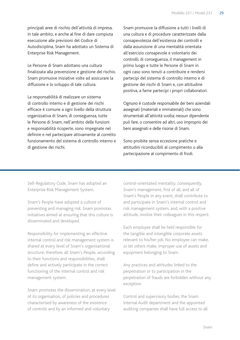principali aree di rischio dell'attività di impresa. In tale ambito, e anche al fine di dare compiuta esecuzione alle previsioni del Codice di Autodisciplina, Snam ha adottato un Sistema di Enterprise Risk Management.

Le Persone di Snam adottano una cultura finalizzata alla prevenzione e gestione del rischio. Snam promuove iniziative volte ad assicurare la diffusione e lo sviluppo di tale cultura.

La responsabilità di realizzare un sistema di controllo interno e di gestione dei rischi efficace è comune a ogni livello della struttura organizzativa di Snam; di conseguenza, tutte le Persone di Snam, nell'ambito delle funzioni e responsabilità ricoperte, sono impegnate nel definire e nel partecipare attivamente al corretto funzionamento del sistema di controllo interno e di gestione dei rischi.

Snam promuove la diffusione a tutti i livelli di una cultura e di procedure caratterizzate dalla consapevolezza dell'esistenza dei controlli e dalla assunzione di una mentalità orientata all'esercizio consapevole e volontario dei controlli; di conseguenza, il management in primo luogo e tutte le Persone di Snam in ogni caso sono tenuti a contribuire e rendersi partecipi del sistema di controllo interno e di gestione dei rischi di Snam e, con attitudine positiva, a farne partecipi i propri collaboratori.

Ognuno è custode responsabile dei beni aziendali assegnati (materiali e immateriali) che sono strumentali all'attività svolta; nessun dipendente può fare, o consentire ad altri, uso improprio dei beni assegnati e delle risorse di Snam.

Sono proibite senza eccezione pratiche e attitudini riconducibili al compimento o alla partecipazione al compimento di frodi.

Self-Regulatory Code, Snam has adopted an Enterprise Risk Management System.

Snam's People have adopted a culture of preventing and managing risk. Snam promotes initiatives aimed at ensuring that this culture is disseminated and developed.

Responsibility for implementing an effective internal control and risk management system is shared at every level of Snam's organisational structure; therefore, all Snam's People, according to their functions and responsibilities, shall define and actively participate in the correct functioning of the internal control and risk management system.

Snam promotes the dissemination, at every level of its organisation, of policies and procedures characterised by awareness of the existence of controls and by an informed and voluntary

control-orientated mentality; consequently, Snam's management, first of all, and all of Snam's People in any event, shall contribute to and participate in Snam's internal control and risk management system, and, with a positive attitude, involve their colleagues in this respect.

Each employee shall be held responsible for the tangible and intangible corporate assets relevant to his/her job. No employee can make, or let others make, improper use of assets and equipment belonging to Snam.

Any practices and attitudes linked to the perpetration or to participation in the perpetration of frauds are forbidden without any exception.

Control and supervisory bodies, the Snam Internal Audit department and the appointed auditing companies shall have full access to all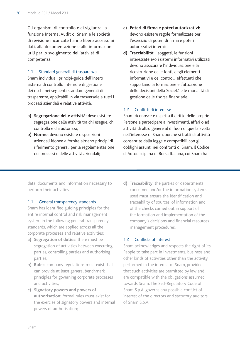Gli organismi di controllo e di vigilanza, la funzione Internal Audit di Snam e le società di revisione incaricate hanno libero accesso ai dati, alla documentazione e alle informazioni utili per lo svolgimento dell'attività di competenza.

#### 1.1 Standard generali di trasparenza

Snam individua i principi-guida dell'intero sistema di controllo interno e di gestione dei rischi nei seguenti standard generali di trasparenza, applicabili in via trasversale a tutti i processi aziendali e relative attività:

- **a) Segregazione delle attività:** deve esistere segregazione delle attività tra chi esegue, chi controlla e chi autorizza;
- **b) Norme:** devono esistere disposizioni aziendali idonee a fornire almeno principi di riferimento generali per la regolamentazione dei processi e delle attività aziendali;
- **c) Poteri di firma e poteri autorizzativi:**  devono esistere regole formalizzate per l'esercizio di poteri di firma e poteri autorizzativi interni;
- **d) Tracciabilità:** i soggetti, le funzioni interessate e/o i sistemi informativi utilizzati devono assicurare l'individuazione e la ricostruzione delle fonti, degli elementi informativi e dei controlli effettuati che supportano la formazione e l'attuazione delle decisioni della Società e le modalità di gestione delle risorse finanziarie.

#### 1.2 Conflitti di interesse

Snam riconosce e rispetta il diritto delle proprie Persone a partecipare a investimenti, affari o ad attività di altro genere al di fuori di quella svolta nell'interesse di Snam, purché si tratti di attività consentite dalla legge e compatibili con gli obblighi assunti nei confronti di Snam. Il Codice di Autodisciplina di Borsa Italiana, cui Snam ha

data, documents and information necessary to perform their activities.

#### 1.1 General transparency standards

Snam has identified guiding principles for the entire internal control and risk management system in the following general transparency standards, which are applied across all the corporate processes and relative activities:

- **a) Segregation of duties:** there must be segregation of activities between executing parties, controlling parties and authorising parties;
- **b) Rules:** company regulations must exist that can provide at least general benchmark principles for governing corporate processes and activities;
- **c) Signatory powers and powers of authorisation:** formal rules must exist for the exercise of signatory powers and internal powers of authorisation;

**d) Traceability:** the parties or departments concerned and/or the information systems used must ensure the identification and traceability of sources, of information and of the checks carried out in support of the formation and implementation of the company's decisions and financial resources management procedures.

#### 1.2 Conflicts of interest

Snam acknowledges and respects the right of its People to take part in investments, business and other kinds of activities other than the activity performed in the interest of Snam, provided that such activities are permitted by law and are compatible with the obligations assumed towards Snam. The Self-Regulatory Code of Snam S.p.A. governs any possible conflict of interest of the directors and statutory auditors of Snam S.p.A.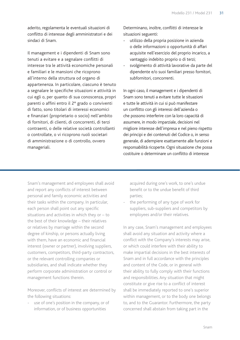aderito, regolamenta le eventuali situazioni di conflitto di interesse degli amministratori e dei sindaci di Snam.

Il management e i dipendenti di Snam sono tenuti a evitare e a segnalare conflitti di interesse tra le attività economiche personali e familiari e le mansioni che ricoprono all'interno della struttura od organo di appartenenza. In particolare, ciascuno è tenuto a segnalare le specifiche situazioni e attività in cui egli o, per quanto di sua conoscenza, propri parenti o affini entro il 2° grado o conviventi di fatto, sono titolari di interessi economici e finanziari (proprietario o socio) nell'ambito di fornitori, di clienti, di concorrenti, di terzi contraenti, o delle relative società controllanti o controllate, o vi ricoprono ruoli societari di amministrazione o di controllo, ovvero manageriali.

Determinano, inoltre, conflitti di interesse le situazioni seguenti:

- utilizzo della propria posizione in azienda o delle informazioni o opportunità di affari acquisite nell'esercizio del proprio incarico, a vantaggio indebito proprio o di terzi;
- svolgimento di attività lavorative da parte del dipendente e/o suoi familiari presso fornitori, subfornitori, concorrenti.

In ogni caso, il management e i dipendenti di Snam sono tenuti a evitare tutte le situazioni e tutte le attività in cui si può manifestare un conflitto con gli interessi dell'azienda o che possono interferire con la loro capacità di assumere, in modo imparziale, decisioni nel migliore interesse dell'impresa e nel pieno rispetto dei principi e dei contenuti del Codice o, in senso generale, di adempiere esattamente alle funzioni e responsabilità ricoperte. Ogni situazione che possa costituire o determinare un conflitto di interesse

Snam's management and employees shall avoid and report any conflicts of interest between personal and family economic activities and their tasks within the company. In particular, each person shall point out any specific situations and activities in which they or – to the best of their knowledge – their relatives or relatives by marriage within the second degree of kinship, or persons actually living with them, have an economic and financial interest (owner or partner), involving suppliers, customers, competitors, third-party contractors, or the relevant controlling companies or subsidiaries, and shall indicate whether they perform corporate administration or control or management functions therein.

Moreover, conflicts of interest are determined by the following situations:

use of one's position in the company, or of information, or of business opportunities

acquired during one's work, to one's undue benefit or to the undue benefit of third parties;

the performing of any type of work for suppliers, sub-suppliers and competitors by employees and/or their relatives.

In any case, Snam's management and employees shall avoid any situation and activity where a conflict with the Company's interests may arise, or which could interfere with their ability to make impartial decisions in the best interests of Snam and in full accordance with the principles and content of the Code, or in general with their ability to fully comply with their functions and responsibilities. Any situation that might constitute or give rise to a conflict of interest shall be immediately reported to one's superior within management, or to the body one belongs to, and to the Guarantor. Furthermore, the party concerned shall abstain from taking part in the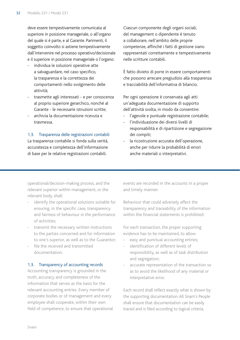deve essere tempestivamente comunicata al superiore in posizione manageriale, o all'organo del quale si è parte, e al Garante. Parimenti, il soggetto coinvolto si astiene tempestivamente dall'intervenire nel processo operativo/decisionale e il superiore in posizione manageriale o l'organo:

- individua le soluzioni operative atte a salvaguardare, nel caso specifico, la trasparenza e la correttezza dei comportamenti nello svolgimento delle attività;
- trasmette agli interessati e per conoscenza al proprio superiore gerarchico, nonché al Garante - le necessarie istruzioni scritte;
- archivia la documentazione ricevuta e trasmessa.

#### 1.3. Trasparenza delle registrazioni contabili

La trasparenza contabile si fonda sulla verità, accuratezza e completezza dell'informazione di base per le relative registrazioni contabili.

Ciascun componente degli organi sociali, del management o dipendente è tenuto a collaborare, nell'ambito delle proprie competenze, affinché i fatti di gestione siano rappresentati correttamente e tempestivamente nelle scritture contabili.

È fatto divieto di porre in essere comportamenti che possono arrecare pregiudizio alla trasparenza e tracciabilità dell'informativa di bilancio.

Per ogni operazione è conservata agli atti un'adeguata documentazione di supporto dell'attività svolta, in modo da consentire:

- l'agevole e puntuale registrazione contabile;
- l'individuazione dei diversi livelli di responsabilità e di ripartizione e segregazione dei compiti;
- la ricostruzione accurata dell'operazione, anche per ridurre la probabilità di errori anche materiali o interpretativi.

operational/decision-making process, and the relevant superior within management, or the relevant body, shall:

- identify the operational solutions suitable for ensuring, in the specific case, transparency and fairness of behaviour in the performance of activities;
- transmit the necessary written instructions to the parties concerned and for information to one's superior, as well as to the Guarantor;
- file the received and transmitted documentation.

#### 1.3. Transparency of accounting records

Accounting transparency is grounded in the truth, accuracy and completeness of the information that serves as the basis for the relevant accounting entries. Every member of corporate bodies or of management and every employee shall cooperate, within their own field of competence, to ensure that operational events are recorded in the accounts in a proper and timely manner.

Behaviour that could adversely affect the transparency and traceability of the information within the financial statements is prohibited.

For each transaction, the proper supporting evidence has to be maintained, to allow:

- easy and punctual accounting entries;
- identification of different levels of responsibility, as well as of task distribution and segregation;
- accurate representation of the transaction so as to avoid the likelihood of any material or interpretative error.

Each record shall reflect exactly what is shown by the supporting documentation. All Snam's People shall ensure that documentation can be easily traced and is filed according to logical criteria.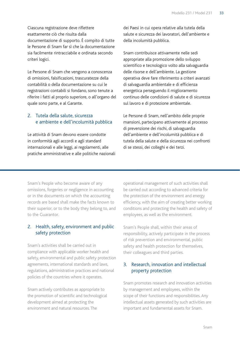Ciascuna registrazione deve riflettere esattamente ciò che risulta dalla documentazione di supporto. È compito di tutte le Persone di Snam far sì che la documentazione sia facilmente rintracciabile e ordinata secondo criteri logici.

Le Persone di Snam che vengono a conoscenza di omissioni, falsificazioni, trascuratezze della contabilità o della documentazione su cui le registrazioni contabili si fondano, sono tenute a riferire i fatti al proprio superiore, o all'organo del quale sono parte, e al Garante.

# 2. Tutela della salute, sicurezza e ambiente e dell'incolumità pubblica

Le attività di Snam devono essere condotte in conformità agli accordi e agli standard internazionali e alle leggi, ai regolamenti, alle pratiche amministrative e alle politiche nazionali dei Paesi in cui opera relative alla tutela della salute e sicurezza dei lavoratori, dell'ambiente e della incolumità pubblica.

Snam contribuisce attivamente nelle sedi appropriate alla promozione dello sviluppo scientifico e tecnologico volto alla salvaguardia delle risorse e dell'ambiente. La gestione operativa deve fare riferimento a criteri avanzati di salvaguardia ambientale e di efficienza energetica perseguendo il miglioramento continuo delle condizioni di salute e di sicurezza sul lavoro e di protezione ambientale.

Le Persone di Snam, nell'ambito delle proprie mansioni, partecipano attivamente al processo di prevenzione dei rischi, di salvaguardia dell'ambiente e dell'incolumità pubblica e di tutela della salute e della sicurezza nei confronti di se stessi, dei colleghi e dei terzi.

Snam's People who become aware of any omissions, forgeries or negligence in accounting or in the documents on which the accounting records are based shall make the facts known to their superior, or to the body they belong to, and to the Guarantor.

# 2. Health, safety, environment and public safety protection

Snam's activities shall be carried out in compliance with applicable worker health and safety, environmental and public safety protection agreements, international standards and laws, regulations, administrative practices and national policies of the countries where it operates.

Snam actively contributes as appropriate to the promotion of scientific and technological development aimed at protecting the environment and natural resources. The

operational management of such activities shall be carried out according to advanced criteria for the protection of the environment and energy efficiency, with the aim of creating better working conditions and protecting the health and safety of employees, as well as the environment.

Snam's People shall, within their areas of responsibility, actively participate in the process of risk prevention and environmental, public safety and health protection for themselves, their colleagues and third parties.

# 3. Research, innovation and intellectual property protection

Snam promotes research and innovation activities by management and employees, within the scope of their functions and responsibilities. Any intellectual assets generated by such activities are important and fundamental assets for Snam.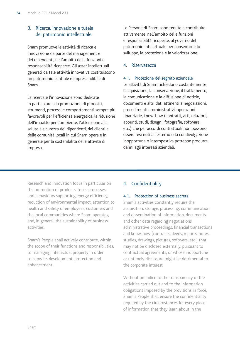# 3. Ricerca, innovazione e tutela del patrimonio intellettuale

Snam promuove le attività di ricerca e innovazione da parte del management e dei dipendenti, nell'ambito delle funzioni e responsabilità ricoperte. Gli *asset* intellettuali generati da tale attività innovativa costituiscono un patrimonio centrale e imprescindibile di Snam.

La ricerca e l'innovazione sono dedicate in particolare alla promozione di prodotti, strumenti, processi e comportamenti sempre più favorevoli per l'efficienza energetica, la riduzione dell'impatto per l'ambiente, l'attenzione alla salute e sicurezza dei dipendenti, dei clienti e delle comunità locali in cui Snam opera e in generale per la sostenibilità delle attività di impresa.

Le Persone di Snam sono tenute a contribuire attivamente, nell'ambito delle funzioni e responsabilità ricoperte, al governo del patrimonio intellettuale per consentirne lo sviluppo, la protezione e la valorizzazione.

#### 4. Riservatezza

#### 4.1. Protezione del segreto aziendale

Le attività di Snam richiedono costantemente l'acquisizione, la conservazione, il trattamento, la comunicazione e la diffusione di notizie, documenti e altri dati attinenti a negoziazioni, procedimenti amministrativi, operazioni finanziarie, know-how (contratti, atti, relazioni, appunti, studi, disegni, fotografie, software, etc.) che per accordi contrattuali non possono essere resi noti all'esterno o la cui divulgazione inopportuna o intempestiva potrebbe produrre danni agli interessi aziendali.

Research and innovation focus in particular on the promotion of products, tools, processes and behaviours supporting energy efficiency, reduction of environmental impact, attention to health and safety of employees, customers and the local communities where Snam operates, and, in general, the sustainability of business activities.

Snam's People shall actively contribute, within the scope of their functions and responsibilities, to managing intellectual property in order to allow its development, protection and enhancement.

# 4. Confidentiality

#### 4.1. Protection of business secrets

Snam's activities constantly require the acquisition, storage, processing, communication and dissemination of information, documents and other data regarding negotiations, administrative proceedings, financial transactions and know-how (contracts, deeds, reports, notes, studies, drawings, pictures, software, etc.) that may not be disclosed externally, pursuant to contractual agreements, or whose inopportune or untimely disclosure might be detrimental to the corporate interest.

Without prejudice to the transparency of the activities carried out and to the information obligations imposed by the provisions in force, Snam's People shall ensure the confidentiality required by the circumstances for every piece of information that they learn about in the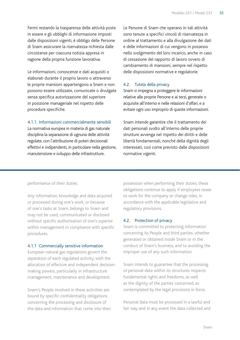Fermi restando la trasparenza delle attività poste in essere e gli obblighi di informazione imposti dalle disposizioni vigenti, è obbligo delle Persone di Snam assicurare la riservatezza richiesta dalle circostanze per ciascuna notizia appresa in ragione della propria funzione lavorativa.

Le informazioni, conoscenze e dati acquisiti o elaborati durante il proprio lavoro o attraverso le proprie mansioni appartengono a Snam e non possono essere utilizzate, comunicate o divulgate senza specifica autorizzazione del superiore in posizione manageriale nel rispetto delle procedure specifiche.

4.1.1. Informazioni commercialmente sensibili

La normativa europea in materia di gas naturale disciplina la separazione di ognuna delle attività regolate, con l'attribuzione di poteri decisionali effettivi e indipendenti, in particolare nella gestione, manutenzione e sviluppo delle infrastrutture.

Le Persone di Snam che operano in tali attività sono tenute a specifici vincoli di riservatezza in ordine al trattamento e alla divulgazione dei dati e delle informazioni di cui vengono in possesso nello svolgimento del loro incarico, anche in caso di cessazione del rapporto di lavoro ovvero di cambiamento di mansioni, sempre nel rispetto delle disposizioni normative e regolatorie.

#### 4.2. Tutela della privacy

Snam si impegna a proteggere le informazioni relative alle proprie Persone e ai terzi, generate o acquisite all'interno e nelle relazioni d'affari, e a evitare ogni uso improprio di queste informazioni.

Snam intende garantire che il trattamento dei dati personali svolto all'interno delle proprie strutture avvenga nel rispetto dei diritti e delle libertà fondamentali, nonché della dignità degli interessati, così come previsto dalle disposizioni normative vigenti.

performance of their duties.

Any information, knowledge and data acquired or processed during one's work, or because of one's tasks at Snam, belongs to Snam and may not be used, communicated or disclosed without specific authorisation of one's superior within management in compliance with specific procedures.

#### 4.1.1 Commercially sensitive information

European natural gas regulations govern the separation of each regulated activity, with the allocation of effective and independent decisionmaking powers, particularly in infrastructure management, maintenance and development.

Snam's People involved in these activities are bound by specific confidentiality obligations concerning the processing and disclosure of the data and information that come into their

possession when performing their duties; these obligations continue to apply if employees cease to work for the company or change roles, in accordance with the applicable legislative and regulatory provisions.

#### 4.2. Protection of privacy

Snam is committed to protecting information concerning its People and third parties, whether generated or obtained inside Snam or in the conduct of Snam's business, and to avoiding the improper use of any such information.

Snam intends to guarantee that the processing of personal data within its structures respects fundamental rights and freedoms, as well as the dignity of the parties concerned, as contemplated by the legal provisions in force.

Personal data must be processed in a lawful and fair way and in any event the data collected and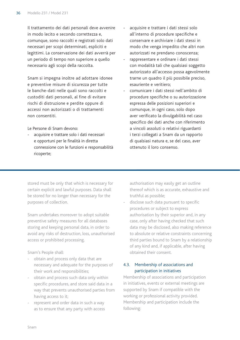Il trattamento dei dati personali deve avvenire in modo lecito e secondo correttezza e, comunque, sono raccolti e registrati solo dati necessari per scopi determinati, espliciti e legittimi. La conservazione dei dati avverrà per un periodo di tempo non superiore a quello necessario agli scopi della raccolta.

Snam si impegna inoltre ad adottare idonee e preventive misure di sicurezza per tutte le banche-dati nelle quali sono raccolti e custoditi dati personali, al fine di evitare rischi di distruzione e perdite oppure di accessi non autorizzati o di trattamenti non consentiti.

Le Persone di Snam devono:

acquisire e trattare solo i dati necessari e opportuni per le finalità in diretta connessione con le funzioni e responsabilità ricoperte;

- acquisire e trattare i dati stessi solo all'interno di procedure specifiche e conservare e archiviare i dati stessi in modo che venga impedito che altri non autorizzati ne prendano conoscenza;
- rappresentare e ordinare i dati stessi con modalità tali che qualsiasi soggetto autorizzato all'accesso possa agevolmente trarne un quadro il più possibile preciso, esauriente e veritiero;
- comunicare i dati stessi nell'ambito di procedure specifiche o su autorizzazione espressa delle posizioni superiori e comunque, in ogni caso, solo dopo aver verificato la divulgabilità nel caso specifico dei dati anche con riferimento a vincoli assoluti o relativi riguardanti i terzi collegati a Snam da un rapporto di qualsiasi natura e, se del caso, aver ottenuto il loro consenso.

stored must be only that which is necessary for certain explicit and lawful purposes. Data shall be stored for no longer than necessary for the purposes of collection.

Snam undertakes moreover to adopt suitable preventive safety measures for all databases storing and keeping personal data, in order to avoid any risks of destruction, loss, unauthorised access or prohibited processing.

Snam's People shall:

- obtain and process only data that are necessary and adequate for the purposes of their work and responsibilities;
- obtain and process such data only within specific procedures, and store said data in a way that prevents unauthorised parties from having access to it;
- represent and order data in such a way as to ensure that any party with access

authorisation may easily get an outline thereof which is as accurate, exhaustive and truthful as possible;

disclose such data pursuant to specific procedures or subject to express authorisation by their superior and, in any case, only after having checked that such data may be disclosed, also making reference to absolute or relative constraints concerning third parties bound to Snam by a relationship of any kind and, if applicable, after having obtained their consent.

# 4.3. Membership of associations and participation in initiatives

Membership of associations and participation in initiatives, events or external meetings are supported by Snam if compatible with the working or professional activity provided. Membership and participation include the following: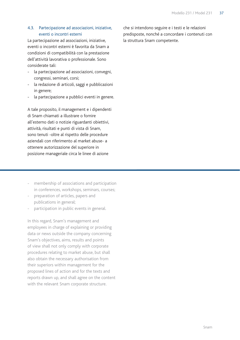#### 4.3. Partecipazione ad associazioni, iniziative, eventi o incontri esterni

La partecipazione ad associazioni, iniziative, eventi o incontri esterni è favorita da Snam a condizioni di compatibilità con la prestazione dell'attività lavorativa o professionale. Sono considerate tali:

- la partecipazione ad associazioni, convegni, congressi, seminari, corsi;
- la redazione di articoli, saggi e pubblicazioni in genere;
- la partecipazione a pubblici eventi in genere.

A tale proposito, il management e i dipendenti di Snam chiamati a illustrare o fornire all'esterno dati o notizie riguardanti obiettivi, attività, risultati e punti di vista di Snam, sono tenuti -oltre al rispetto delle procedure aziendali con riferimento al market abuse- a ottenere autorizzazione del superiore in posizione manageriale circa le linee di azione

- membership of associations and participation in conferences, workshops, seminars, courses;
- preparation of articles, papers and publications in general;
- participation in public events in general.

In this regard, Snam's management and employees in charge of explaining or providing data or news outside the company concerning Snam's objectives, aims, results and points of view shall not only comply with corporate procedures relating to market abuse, but shall also obtain the necessary authorisation from their superiors within management for the proposed lines of action and for the texts and reports drawn up, and shall agree on the content with the relevant Snam corporate structure.

che si intendono seguire e i testi e le relazioni predisposte, nonché a concordare i contenuti con la struttura Snam competente.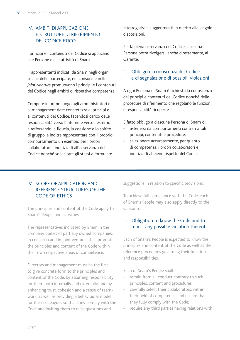## IV. Ambiti di applicazione e strutture di riferimento del Codice Etico

I principi e i contenuti del Codice si applicano alle Persone e alle attività di Snam.

I rappresentanti indicati da Snam negli organi sociali delle partecipate, nei consorzi e nelle *joint-venture* promuovono i principi e i contenuti del Codice negli ambiti di rispettiva competenza.

Compete in primo luogo agli amministratori e al management dare concretezza ai principi e ai contenuti del Codice, facendosi carico delle responsabilità verso l'interno e verso l'esterno e rafforzando la fiducia, la coesione e lo spirito di gruppo, e inoltre rappresentare con il proprio comportamento un esempio per i propri collaboratori e indirizzarli all'osservanza del Codice nonché sollecitare gli stessi a formulare

interrogativi e suggerimenti in merito alle singole disposizioni.

Per la piena osservanza del Codice, ciascuna Persona potrà rivolgersi, anche direttamente, al Garante.

#### 1. Obbligo di conoscenza del Codice e di segnalazione di possibili violazioni

A ogni Persona di Snam è richiesta la conoscenza dei principi e contenuti del Codice nonché delle procedure di riferimento che regolano le funzioni e responsabilità ricoperte.

È fatto obbligo a ciascuna Persona di Snam di:

- astenersi da comportamenti contrari a tali principi, contenuti e procedure;
- selezionare accuratamente, per quanto di competenza, i propri collaboratori e indirizzarli al pieno rispetto del Codice;

#### IV. Scope of application and reference structures of the CODE OF FTHICS

The principles and content of the Code apply to Snam's People and activities.

The representatives indicated by Snam in the company bodies of partially owned companies, in consortia and in joint ventures shall promote the principles and content of the Code within their own respective areas of competence.

Directors and management must be the first to give concrete form to the principles and content of the Code, by assuming responsibility for them both internally and externally, and by enhancing trust, cohesion and a sense of teamwork, as well as providing a behavioural model for their colleagues so that they comply with the Code and inviting them to raise questions and

suggestions in relation to specific provisions.

To achieve full compliance with the Code, each of Snam's People may also apply directly to the Guarantor.

## 1. Obligation to know the Code and to report any possible violation thereof

Each of Snam's People is expected to know the principles and content of the Code as well as the reference procedures governing their functions and responsibilities.

Each of Snam's People shall:

- refrain from all conduct contrary to such principles, content and procedures;
- carefully select their collaborators, within their field of competence, and ensure that they fully comply with the Code;
- require any third parties having relations with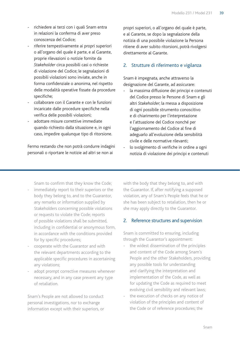- richiedere ai terzi con i quali Snam entra in relazioni la conferma di aver preso conoscenza del Codice;
- riferire tempestivamente ai propri superiori o all'organo del quale è parte, e al Garante, proprie rilevazioni o notizie fornite da *Stakeholder* circa possibili casi o richieste di violazione del Codice; le segnalazioni di possibili violazioni sono inviate, anche in forma confidenziale o anonima, nel rispetto delle modalità operative fissate da procedure specifiche;
- collaborare con il Garante e con le funzioni incaricate dalle procedure specifiche nella verifica delle possibili violazioni;
- adottare misure correttive immediate quando richiesto dalla situazione e, in ogni caso, impedire qualunque tipo di ritorsione.

Fermo restando che non potrà condurre indagini personali o riportare le notizie ad altri se non ai

propri superiori, o all'organo del quale è parte, e al Garante, se dopo la segnalazione della notizia di una possibile violazione la Persona ritiene di aver subito ritorsioni, potrà rivolgersi direttamente al Garante.

#### 2. Strutture di riferimento e vigilanza

Snam è impegnata, anche attraverso la designazione del Garante, ad assicurare:

- la massima diffusione dei principi e contenuti del Codice presso le Persone di Snam e gli altri *Stakeholder*; la messa a disposizione di ogni possibile strumento conoscitivo e di chiarimento per l'interpretazione e l'attuazione del Codice nonché per l'aggiornamento del Codice al fine di adeguarlo all'evoluzione della sensibilità civile e delle normative rilevanti;
- lo svolgimento di verifiche in ordine a ogni notizia di violazione dei principi e contenuti

Snam to confirm that they know the Code;

- immediately report to their superiors or the body they belong to, and to the Guarantor, any remarks or information supplied by Stakeholders concerning possible violations or requests to violate the Code; reports of possible violations shall be submitted, including in confidential or anonymous form, in accordance with the conditions provided for by specific procedures;
- cooperate with the Guarantor and with the relevant departments according to the applicable specific procedures in ascertaining any violations;
- adopt prompt corrective measures whenever necessary, and in any case prevent any type of retaliation.

Snam's People are not allowed to conduct personal investigations, nor to exchange information except with their superiors, or

with the body that they belong to, and with the Guarantor. If, after notifying a supposed violation, any of Snam's People feels that he or she has been subject to retaliation, then he or she may apply directly to the Guarantor.

#### 2. Reference structures and supervision

Snam is committed to ensuring, including through the Guarantor's appointment:

- the widest dissemination of the principles and content of the Code among Snam's People and the other Stakeholders, providing any possible tools for understanding and clarifying the interpretation and implementation of the Code, as well as for updating the Code as required to meet evolving civil sensibility and relevant laws;
- the execution of checks on any notice of violation of the principles and content of the Code or of reference procedures; the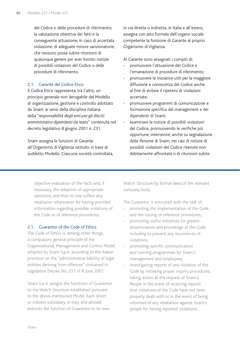del Codice o delle procedure di riferimento; la valutazione obiettiva dei fatti e la conseguente attuazione, in caso di accertata violazione, di adeguate misure sanzionatorie; che nessuno possa subire ritorsioni di qualunque genere per aver fornito notizie di possibili violazioni del Codice o delle procedure di riferimento.

#### 2.1. Garante del Codice Etico

Il Codice Etico rappresenta, tra l'altro, un principio generale non derogabile del Modello di organizzazione, gestione e controllo adottato da Snam. ai sensi della disciplina italiana della "*responsabilità degli enti per gli illeciti amministrativi dipendenti da reato*" contenuta nel decreto legislativo 8 giugno 2001 n. 231.

Snam assegna le funzioni di Garante all'Organismo di Vigilanza istituito in base al suddetto Modello. Ciascuna società controllata,

in via diretta o indiretta, in Italia e all'estero, assegna con atto formale dell'organo sociale competente la funzione di Garante al proprio Organismo di Vigilanza.

Al Garante sono assegnati i compiti di:

- promuovere l'attuazione del Codice e l'emanazione di procedure di riferimento;
- promuovere le iniziative utili per la maggiore diffusione e conoscenza del Codice anche al fine di evitare il ripetersi di violazioni accertate;
- promuovere programmi di comunicazione e formazione specifica del management e dei dipendenti di Snam;
- esaminare le notizie di possibili violazioni del Codice, promuovendo le verifiche più opportune; intervenire, anche su segnalazione delle Persone di Snam, nei casi di notizie di possibili violazioni del Codice ritenute non debitamente affrontate o di ritorsioni subite

objective evaluation of the facts and, if necessary, the adoption of appropriate sanctions; and that no one suffers any retaliation whatsoever for having provided information regarding possible violations of the Code or of reference procedures.

#### 2.1. Guarantor of the Code of Ethics

The Code of Ethics is, among other things, a compulsory general principle of the Organisational, Management and Control Model adopted by Snam S.p.A. according to the Italian provision on the "administrative liability of legal entities deriving from offences" contained in Legislative Decree No. 231 of 8 June 2001.

Snam S.p.A. assigns the functions of Guarantor to the Watch Structure established pursuant to the above-mentioned Model. Each direct or indirect subsidiary, in Italy and abroad, entrusts the function of Guarantor to its own

Watch Structure by formal deed of the relevant company body.

The Guarantor is entrusted with the task of:

- promoting the implementation of the Code and the issuing of reference procedures;
- promoting useful initiatives for greater dissemination and knowledge of the Code, including to prevent any recurrences of violations;
- promoting specific communication and training programmes for Snam's management and employees;
- investigating reports of any violation of the Code by initiating proper inquiry procedures; taking action at the request of Snam's People in the event of receiving reports that violations of the Code have not been properly dealt with or in the event of being informed of any retaliation against Snam's people for having reported violations;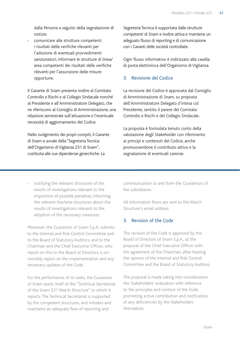dalla Persona a seguito della segnalazione di notizie;

- comunicare alle strutture competenti i risultati delle verifiche rilevanti per l'adozione di eventuali provvedimenti sanzionatori; informare le strutture di linea/ area competenti dei risultati delle verifiche rilevanti per l'assunzione delle misure opportune.

Il Garante di Snam presenta inoltre al Comitato Controllo e Rischi e al Collegio Sindacale nonché al Presidente e all'Amministratore Delegato, che ne riferiscono al Consiglio di Amministrazione, una relazione semestrale sull'attuazione e l'eventuale necessità di aggiornamento del Codice.

Nello svolgimento dei propri compiti, il Garante di Snam si avvale della "Segreteria Tecnica dell'Organismo di Vigilanza 231 di Snam", costituita alle sue dipendenze gerarchiche. La

Segreteria Tecnica è supportata dalle strutture competenti di Snam e inoltre attiva e mantiene un adeguato flusso di reporting e di comunicazione con i Garanti delle società controllate.

Ogni flusso informativo è indirizzato alla casella di posta elettronica dell'Organismo di Vigilanza.

#### 3. Revisione del Codice

La revisione del Codice è approvata dal Consiglio di Amministrazione di Snam, su proposta dell'Amministratore Delegato d'intesa col Presidente, sentito il parere del Comitato Controllo e Rischi e del Collegio Sindacale.

La proposta è formulata tenuto conto della valutazione degli *Stakeholder* con riferimento ai principi e contenuti del Codice, anche promuovendone il contributo attivo e la segnalazione di eventuali carenze.

notifying the relevant structures of the results of investigations relevant to the imposition of possible penalties; informing the relevant line/area structures about the results of investigations relevant to the adoption of the necessary measures.

Moreover, the Guarantor of Snam S.p.A. submits to the Internal and Risk Control Committee and to the Board of Statutory Auditors, and to the Chairman and the Chief Executive Officer, who report on this to the Board of Directors, a sixmonthly report on the implementation and any necessary updates of the Code.

For the performance of its tasks, the Guarantor of Snam avails itself of the "Technical Secretariat of the Snam 231 Watch Structure" to which it reports. The Technical Secretariat is supported by the competent structures, and initiates and maintains an adequate flow of reporting and

communication to and from the Guarantors of the subsidiaries.

All information flows are sent to the Watch Structure's email address.

## 3. Revision of the Code

The revision of the Code is approved by the Board of Directors of Snam S.p.A., at the proposal of the Chief Executive Officer with the agreement of the Chairman, after hearing the opinion of the Internal and Risk Control Committee and the Board of Statutory Auditors.

The proposal is made taking into consideration the Stakeholders' evaluation with reference to the principles and content of the Code, promoting active contribution and notification of any deficiencies by the Stakeholders themselves.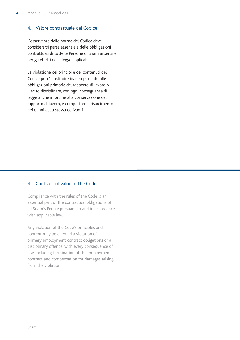#### 4. Valore contrattuale del Codice

L'osservanza delle norme del Codice deve considerarsi parte essenziale delle obbligazioni contrattuali di tutte le Persone di Snam ai sensi e per gli effetti della legge applicabile.

La violazione dei principi e dei contenuti del Codice potrà costituire inadempimento alle obbligazioni primarie del rapporto di lavoro o illecito disciplinare, con ogni conseguenza di legge anche in ordine alla conservazione del rapporto di lavoro, e comportare il risarcimento dei danni dalla stessa derivanti.

### 4. Contractual value of the Code

Compliance with the rules of the Code is an essential part of the contractual obligations of all Snam's People pursuant to and in accordance with applicable law.

Any violation of the Code's principles and content may be deemed a violation of primary employment contract obligations or a disciplinary offence, with every consequence of law, including termination of the employment contract and compensation for damages arising from the violation.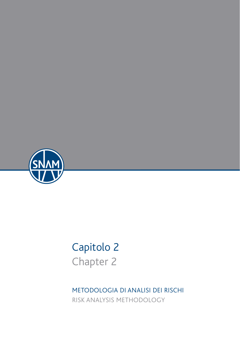

# Capitolo 2 Chapter 2

METODOLOGIA DI ANALISI DEI RISCHI RISK ANALYSIS METHODOLOGY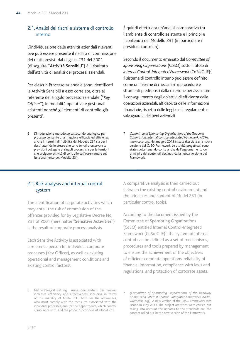## 2.1. Analisi dei rischi e sistema di controllo interno

L'individuazione delle attività aziendali rilevanti ove può essere presente il rischio di commissione dei reati previsti dal d.lgs. n. 231 del 2001 (di seguito, "**Attività Sensibili**") è il risultato dell'attività di analisi dei processi aziendali.

Per ciascun Processo aziendale sono identificati le Attività Sensibili a esso correlate, oltre al referente del singolo processo aziendale ("*Key Officer*"), le modalità operative e gestionali esistenti nonché gli elementi di controllo già presenti<sup>6</sup>. .

6 L'impostazione metodologica secondo una logica per processo consente una maggiore efficacia ed efficienza, anche in termini di fruibilità, del Modello 231 sia per i destinatari dello stesso che sono tenuti a osservare le previsioni collegate ai singoli processi sia per le funzioni che svolgono attività di controllo sull'osservanza e sul funzionamento del Modello 231.

è quindi effettuata un'analisi comparativa tra l'ambiente di controllo esistente e i principi e i contenuti del Modello 231 (in particolare i presidi di controllo).

Secondo il documento emanato dal *Committee of Sponsoring Organizations* (CoSO) sotto il titolo di *Internal Control-Integrated Framework* (CoSoIC-IF)7 , il sistema di controllo interno può essere definito come un insieme di meccanismi, procedure e strumenti predisposti dalla direzione per assicurare il conseguimento degli obiettivi di efficienza delle operazioni aziendali, affidabilità delle informazioni finanziarie, rispetto delle leggi e dei regolamenti e salvaguardia dei beni aziendali.

7 *Committee of Sponsoring Organizations of the Treadway Commission, internal control-integrated framework, AICPA, www.coso.org*. Nel maggio 2013 è stata rilasciata una nuova versione del CoSO Framework. Le attività progettuali sono state svolte tenendo conto anche dell'aggiornamento dei principi e dei contenuti declinati dalla nuova versione del Framework.

#### 2.1. Risk analysis and internal control system

The identification of corporate activities which may entail the risk of commission of the offences provided for by Legislative Decree No. 231 of 2001 (hereinafter "**Sensitive Activities**") is the result of corporate process analysis.

Each Sensitive Activity is associated with a reference person for individual corporate processes (Key Officer), as well as existing operational and management conditions and existing control factors<sup>6</sup>. .

A comparative analysis is then carried out between the existing control environment and the principles and content of Model 231 (in particular control tools).

According to the document issued by the Committee of Sponsoring Organizations (CoSO) entitled Internal Control-Integrated Framework (CoSoIC-IF)7 , the system of internal control can be defined as a set of mechanisms, procedures and tools prepared by management to ensure the achievement of the objectives of efficient corporate operations, reliability of financial information, compliance with laws and regulations, and protection of corporate assets.

6 Methodological setting using one system per process increases efficiency and effectiveness, including in terms of the usability of Model 231, both for the addressees, who must comply with the measures associated with the individual processes, and for the departments, which control compliance with, and the proper functioning of, Model 231.

7 *(Committee of Sponsoring Organizations of the Treadway Commission, Internal Control - Integrated Framework, AICPA, www.coso.org).* A new version of the CoSO Framework was issued in May 2013. The project activities were carried out taking into account the updates to the standards and the content rolled out in the new version of the Framework.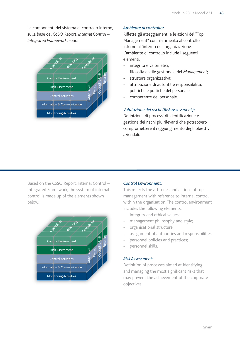Le componenti del sistema di controllo interno, sulla base del CoSO Report, *Internal Control – Integrated Framework*, sono:



#### *Ambiente di controllo:*

Riflette gli atteggiamenti e le azioni del "Top Management" con riferimento al controllo interno all'interno dell'organizzazione. L'ambiente di controllo include i seguenti elementi:

- integrità e valori etici;
- filosofia e stile gestionale del *Management*;
- struttura organizzativa;
- attribuzione di autorità e responsabilità;
- politiche e pratiche del personale;
- competenze del personale.

#### *Valutazione dei rischi (Risk Assessment):*

Definizione di processi di identificazione e gestione dei rischi più rilevanti che potrebbero compromettere il raggiungimento degli obiettivi aziendali.

Based on the CoSO Report, Internal Control – Integrated Framework, the system of internal control is made up of the elements shown below:



#### *Control Environment:*

This reflects the attitudes and actions of top management with reference to internal control within the organisation. The control environment includes the following elements:

- integrity and ethical values;
- management philosophy and style;
- organisational structure;
- assignment of authorities and responsibilities;
- personnel policies and practices;
- personnel skills.

#### *Risk Assessment:*

Definition of processes aimed at identifying and managing the most significant risks that may prevent the achievement of the corporate objectives.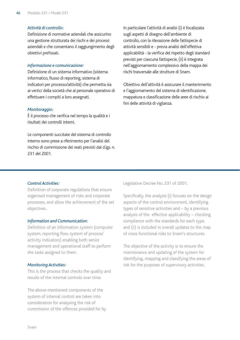#### *Attività di controllo:*

Definizione di normative aziendali che assicurino una gestione strutturata dei rischi e dei processi aziendali e che consentano il raggiungimento degli obiettivi prefissati.

#### *Informazione e comunicazione:*

Definizione di un sistema informativo (sistema informatico, flusso di reporting, sistema di indicatori per processo/attività) che permetta sia ai vertici della società che al personale operativo di effettuare i compiti a loro assegnati.

#### *Monitoraggio:*

È il processo che verifica nel tempo la qualità e i risultati dei controlli interni.

Le componenti succitate del sistema di controllo interno sono prese a riferimento per l'analisi del rischio di commissione dei reati previsti dal d.lgs. n. 231 del 2001.

In particolare l'attività di analisi (i) è focalizzata sugli aspetti di disegno dell'ambiente di controllo, con la rilevazione delle fattispecie di attività sensibili e - previa analisi dell'effettiva applicabilità - la verifica del rispetto degli standard previsti per ciascuna fattispecie, (ii) è integrata nell'aggiornamento complessivo della mappa dei rischi trasversale alle strutture di Snam.

Obiettivo dell'attività è assicurare il mantenimento e l'aggiornamento del sistema di identificazione, mappatura e classificazione delle aree di rischio ai fini delle attività di vigilanza.

#### *Control Activities:*

Definition of corporate regulations that ensure organised management of risks and corporate processes, and allow the achievement of the set objectives..

#### *Information and Communication:*

Definition of an information system (computer system, reporting flow, system of process/ activity indicators) enabling both senior management and operational staff to perform the tasks assigned to them.

#### *Monitoring Activities:*

This is the process that checks the quality and results of the internal controls over time.

The above-mentioned components of the system of internal control are taken into consideration for analysing the risk of commission of the offences provided for by Legislative Decree No. 231 of 2001.

Specifically, the analysis (i) focuses on the design aspects of the control environment, identifying types of sensitive activities and – by a previous analysis of the effective applicability – checking compliance with the standards for each type, and (ii) is included in overall updates to the map of cross-functional risks to Snam's structures.

The objective of the activity is to ensure the maintenance and updating of the system for identifying, mapping and classifying the areas of risk for the purposes of supervisory activities.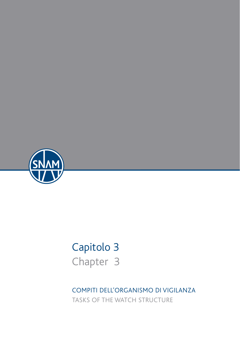

# Capitolo 3 Chapter 3

COMPITI DELL'ORGANISMO DI VIGILANZA TASKS OF THE WATCH STRUCTURE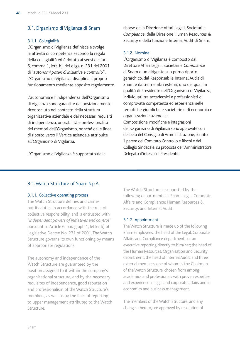#### 3.1. Organismo di Vigilanza di Snam

#### 3.1.1. Collegialità

L'Organismo di Vigilanza definisce e svolge le attività di competenza secondo la regola della collegialità ed è dotato ai sensi dell'art. 6, comma 1, lett. b), del d.lgs. n. 231 del 2001 di "*autonomi poteri di iniziativa e controllo*". L'Organismo di Vigilanza disciplina il proprio funzionamento mediante apposito regolamento.

L'autonomia e l'indipendenza dell'Organismo di Vigilanza sono garantite dal posizionamento riconosciuto nel contesto della struttura organizzativa aziendale e dai necessari requisiti di indipendenza, onorabilità e professionalità dei membri dell'Organismo, nonché dalle linee di riporto verso il Vertice aziendale attribuite all'Organismo di Vigilanza.

L'Organismo di Vigilanza è supportato dalle

risorse della Direzione Affari Legali, Societari e *Compliance*, della Direzione Human Resources & Security e della funzione Internal Audit di Snam.

#### 3.1.2. Nomina

L'Organismo di Vigilanza è composto dal Direttore Affari Legali, Societari e *Compliance* di Snam o un dirigente suo primo riporto gerarchico, dal Responsabile Internal Audit di Snam e da tre membri esterni, uno dei quali in qualità di Presidente dell'Organismo di Vigilanza, individuati tra accademici e professionisti di comprovata competenza ed esperienza nelle tematiche giuridiche e societarie e di economia e organizzazione aziendale.

Composizione, modifiche e integrazioni dell'Organismo di Vigilanza sono approvate con delibera del Consiglio di Amministrazione, sentito il parere del Comitato Controllo e Rischi e del Collegio Sindacale, su proposta dell'Amministratore Delegato d'intesa col Presidente.

#### 3.1.Watch Structure of Snam S.p.A

#### 3.1.1. Collective operating process

The Watch Structure defines and carries out its duties in accordance with the rule of collective responsibility, and is entrusted with *"independent powers of initiatives and control"* pursuant to Article 6, paragraph 1, letter b) of Legislative Decree No. 231 of 2001. The Watch Structure governs its own functioning by means of appropriate regulations.

The autonomy and independence of the Watch Structure are guaranteed by the position assigned to it within the company's organisational structure, and by the necessary requisites of independence, good reputation and professionalism of the Watch Structure's members, as well as by the lines of reporting to upper management attributed to the Watch Structure.

The Watch Structure is supported by the following departments at Snam: Legal, Corporate Affairs and Compliance; Human Resources & Security; and Internal Audit.

#### 3.1.2. Appointment

The Watch Structure is made up of the following Snam employees: the head of the Legal, Corporate Affairs and Compliance department , or an executive reporting directly to him/her; the head of the Human Resources, Organisation and Security department; the head of Internal Audit; and three external members, one of whom is the Chairman of the Watch Structure, chosen from among academics and professionals with proven expertise and experience in legal and corporate affairs and in economics and business management.

The members of the Watch Structure, and any changes thereto, are approved by resolution of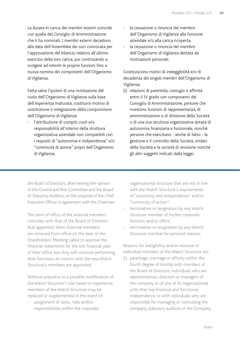La durata in carica dei membri esterni coincide con quella del Consiglio di Amministrazione che li ha nominati. I membri esterni decadono alla data dell'Assemblea dei soci convocata per l'approvazione del bilancio relativo all'ultimo esercizio della loro carica, pur continuando a svolgere ad *interim* le proprie funzioni fino a nuova nomina dei componenti dell'Organismo di Vigilanza.

Fatta salva l'ipotesi di una rivisitazione del ruolo dell'Organismo di Vigilanza sulla base dell'esperienza maturata, costituirà motivo di sostituzione o integrazione della composizione dell'Organismo di Vigilanza:

l'attribuzione di compiti, ruoli e/o responsabilità all'interno della struttura organizzativa aziendale non compatibili con i requisiti di "autonomia e indipendenza" e/o "continuità di azione" propri dell'Organismo di Vigilanza;

- la cessazione o rinuncia del membro dell'Organismo di Vigilanza alla funzione aziendale e/o alla carica ricoperta;
- la cessazione o rinuncia del membro dell'Organismo di Vigilanza dettata da motivazioni personali.

Costituiscono motivi di ineleggibilità e/o di decadenza dei singoli membri dell'Organismo di Vigilanza:

(i) relazioni di parentela, coniugio o affinità entro il IV grado con componenti del Consiglio di Amministrazione, persone che rivestono funzioni di rappresentanza, di amministrazione o di direzione della Società o di una sua struttura organizzativa dotata di autonomia finanziaria e funzionale, nonché persone che esercitano - anche di fatto - la gestione e il controllo della Società, sindaci della Società e la società di revisione nonché gli altri soggetti indicati dalla legge;

the Board of Directors, after hearing the opinion of the Control and Risk Committee and the Board of Statutory Auditors, on the proposal of the Chief Executive Officer in agreement with the Chairman.

The term of office of the external members coincides with that of the Board of Directors that appointed them. External members are removed from office on the date of the Shareholders' Meeting called to approve the financial statements for the last financial year of their office, but they will continue performing their functions ad interim until the new Watch Structure's members are appointed.

Without prejudice to a possible modification of the Watch Structure's role based on experience, members of the Watch Structure may be replaced or supplemented in the event of:

assignment of tasks, roles and/or responsibilities within the corporate

organisational structure that are not in line with the Watch Structure's requirements of "autonomy and independence" and/or "continuity of action";

- termination or resignation by any Watch Structure member of his/her corporate function and/or office;
- termination or resignation by any Watch Structure member for personal reasons.

Reasons for ineligibility and/or removal of individual members of the Watch Structure are:

(i) parentage, marriage or affinity within the fourth degree of kinship with members of the Board of Directors, individuals who are representatives, directors or managers of the company or of one of its organisational units that has financial and functional independence, or with individuals who are responsible for managing or controlling the company, statutory auditors of the Company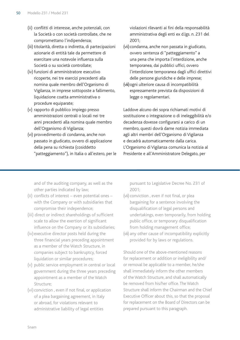- (ii) conflitti di interesse, anche potenziali, con la Società o con società controllate, che ne compromettano l'indipendenza;
- (iii) titolarità, diretta o indiretta, di partecipazioni azionarie di entità tale da permettere di esercitare una notevole influenza sulla Società o su società controllate;
- (iv) funzioni di amministratore esecutivo ricoperte, nei tre esercizi precedenti alla nomina quale membro dell'Organismo di Vigilanza, in imprese sottoposte a fallimento, liquidazione coatta amministrativa o procedure equiparate;
- (v) rapporto di pubblico impiego presso amministrazioni centrali o locali nei tre anni precedenti alla nomina quale membro dell'Organismo di Vigilanza;
- (vi) provvedimento di condanna, anche non passato in giudicato, ovvero di applicazione della pena su richiesta (cosiddetto "patteggiamento"), in Italia o all'estero, per le

violazioni rilevanti ai fini della responsabilità amministrativa degli enti ex d.lgs. n. 231 del 2001;

- (vii) condanna, anche non passata in giudicato, ovvero sentenza di "patteggiamento" a una pena che importa l'interdizione, anche temporanea, dai pubblici uffici, ovvero l'interdizione temporanea dagli uffici direttivi delle persone giuridiche e delle imprese;
- (viii)ogni ulteriore causa di incompatibilità espressamente prevista da disposizioni di legge o regolamentari.

Laddove alcuno dei sopra richiamati motivi di sostituzione o integrazione o di ineleggibilità e/o decadenza dovesse configurarsi a carico di un membro, questi dovrà darne notizia immediata agli altri membri dell'Organismo di Vigilanza e decadrà automaticamente dalla carica. L'Organismo di Vigilanza comunica la notizia al Presidente e all'Amministratore Delegato, per

and of the auditing company, as well as the other parties indicated by law;

- (ii) conflicts of interest even potential ones with the Company or with subsidiaries that compromise their independence;
- (iii) direct or indirect shareholdings of sufficient scale to allow the exertion of significant influence on the Company or its subsidiaries;
- (iv) executive director posts held during the three financial years preceding appointment as a member of the Watch Structure, in companies subject to bankruptcy, forced liquidation or similar procedures;
- (v) public service employment in central or local government during the three years preceding appointment as a member of the Watch Structure;
- (vi) conviction , even if not final, or application of a plea bargaining agreement, in Italy or abroad, for violations relevant to administrative liability of legal entities

pursuant to Legislative Decree No. 231 of 2001;

- (vii) conviction , even if not final, or plea bargaining for a sentence involving the disqualification of legal persons and undertakings, even temporarily, from holding public office, or temporary disqualification from holding management office;
- (viii) any other cause of incompatibility explicitly provided for by laws or regulations.

Should one of the above-mentioned reasons for replacement or addition or ineligibility and/ or removal be applicable to a member, he/she shall immediately inform the other members of the Watch Structure, and shall automatically be removed from his/her office. The Watch Structure shall inform the Chairman and the Chief Executive Officer about this, so that the proposal for replacement on the Board of Directors can be prepared pursuant to this paragraph.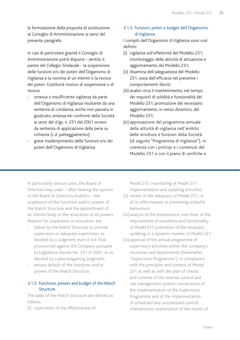la formulazione della proposta di sostituzione al Consiglio di Amministrazione ai sensi del presente paragrafo.

In casi di particolare gravità il Consiglio di Amministrazione potrà disporre - sentito il parere del Collegio Sindacale - la sospensione delle funzioni e/o dei poteri dell'Organismo di Vigilanza e la nomina di un *interim* o la revoca dei poteri. Costituirà motivo di sospensione o di revoca:

- omessa o insufficiente vigilanza da parte dell'Organismo di Vigilanza risultante da una sentenza di condanna, anche non passata in giudicato, emessa nei confronti della Società ai sensi del d.lgs. n. 231 del 2001 ovvero da sentenza di applicazione della pena su richiesta (c.d. patteggiamento);
- grave inadempimento delle funzioni e/o dei poteri dell'Organismo di Vigilanza.

## 3.1.3. Funzioni, poteri e budget dell'Organismo di Vigilanza

I compiti dell'Organismo di Vigilanza sono così definiti:

- (i) vigilanza sull'effettività del Modello 231; monitoraggio delle attività di attuazione e aggiornamento del Modello 231;
- (ii) disamina dell'adeguatezza del Modello 231, ossia dell'efficacia nel prevenire i comportamenti illeciti;
- (iii) analisi circa il mantenimento, nel tempo, dei requisiti di solidità e funzionalità del Modello 231; promozione del necessario aggiornamento, in senso dinamico, del Modello 231;
- (iv) approvazione del programma annuale delle attività di vigilanza nell'ambito delle strutture e funzioni della Società (di seguito "Programma di Vigilanza"), in coerenza con i principi e i contenuti del Modello 231 e con il piano di verifiche e

In particularly serious cases, the Board of Directors may order – after hearing the opinion of the Board of Statutory Auditors – the suspension of the functions and/or powers of the Watch Structure and the appointment of an interim body or the revocation of its powers. Reasons for suspension or revocation are:

- failure by the Watch Structure to provide supervision or adequate supervision, as decided by a judgment, even if not final, pronounced against the Company pursuant to Legislative Decree No. 231 of 2001, or as decided by a plea bargaining judgment;
- serious default of the functions and/or powers of the Watch Structure.

#### 3.1.3. Functions, powers and budget of the Watch Structure

The tasks of the Watch Structure are defined as follows:

(i) supervision of the effectiveness of

Model 231; monitoring of Model 231 implementation and updating activities;

- (ii) review of the adequacy of Model 231, i.e. of its effectiveness in preventing unlawful behaviours;
- (iii) analysis of the maintenance, over time, of the requirements of soundness and functionality of Model 231; promotion of the necessary updating, in a dynamic manner, of Model 231;
- (iv) approval of the annual programme of supervisory activities within the company's structures and departments (hereinafter "Supervision Programme"), in compliance with the principles and content of Model 231 as well as with the plan of checks and controls of the internal control and risk management system; coordination of the implementation of the Supervision Programme and of the implementation of scheduled and unscheduled control interventions; examination of the results of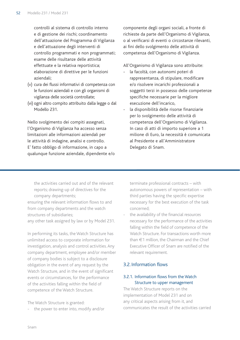controlli al sistema di controllo interno e di gestione dei rischi; coordinamento dell'attuazione del Programma di Vigilanza e dell'attuazione degli interventi di controllo programmati e non programmati; esame delle risultanze delle attività effettuate e la relativa reportistica; elaborazione di direttive per le funzioni aziendali;

- (v) cura dei flussi informativi di competenza con le funzioni aziendali e con gli organismi di vigilanza delle società controllate;
- (vi) ogni altro compito attribuito dalla legge o dal Modello 231.

Nello svolgimento dei compiti assegnati, l'Organismo di Vigilanza ha accesso senza limitazioni alle informazioni aziendali per le attività di indagine, analisi e controllo. E' fatto obbligo di informazione, in capo a qualunque funzione aziendale, dipendente e/o componente degli organi sociali, a fronte di richieste da parte dell'Organismo di Vigilanza, o al verificarsi di eventi o circostanze rilevanti, ai fini dello svolgimento delle attività di competenza dell'Organismo di Vigilanza.

All'Organismo di Vigilanza sono attribuite:

- la facoltà, con autonomi poteri di rappresentanza, di stipulare, modificare e/o risolvere incarichi professionali a soggetti terzi in possesso delle competenze specifiche necessarie per la migliore esecuzione dell'incarico,
- la disponibilità delle risorse finanziarie per lo svolgimento delle attività di competenza dell'Organismo di Vigilanza. In caso di atti di importo superiore a 1 milione di Euro, la necessità è comunicata al Presidente e all'Amministratore Delegato di Snam.

the activities carried out and of the relevant reports; drawing-up of directives for the company departments;

ensuring the relevant information flows to and from company departments and the watch structures of subsidiaries;

any other task assigned by law or by Model 231.

In performing its tasks, the Watch Structure has unlimited access to corporate information for investigation, analysis and control activities. Any company department, employee and/or member of company bodies is subject to a disclosure obligation in the event of any request by the Watch Structure, and in the event of significant events or circumstances, for the performance of the activities falling within the field of competence of the Watch Structure.

The Watch Structure is granted:

the power to enter into, modify and/or

terminate professional contracts – with autonomous powers of representation – with third parties having the specific expertise necessary for the best execution of the task concerned;

the availability of the financial resources necessary for the performance of the activities falling within the field of competence of the Watch Structure. For transactions worth more than €1 million, the Chairman and the Chief Executive Officer of Snam are notified of the relevant requirement.

#### 3.2. Information flows

#### 3.2.1. Information flows from the Watch Structure to upper management

The Watch Structure reports on the implementation of Model 231 and on any critical aspects arising from it, and communicates the result of the activities carried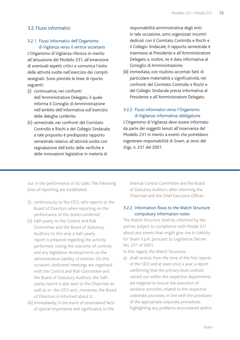### 3.2. Flussi informativi

#### 3.2.1. Flussi informativi dell'Organismo di Vigilanza verso il vertice societario

L'Organismo di Vigilanza riferisce in merito all'attuazione del Modello 231, all'emersione di eventuali aspetti critici e comunica l'esito delle attività svolte nell'esercizio dei compiti assegnati. Sono previste le linee di riporto seguenti:

- (i) continuativa, nei confronti dell'Amministratore Delegato, il quale informa il Consiglio di Amministrazione nell'ambito dell'informativa sull'esercizio delle deleghe conferite;
- (ii) semestrale, nei confronti del Comitato Controllo e Rischi e del Collegio Sindacale; a tale proposito è predisposto rapporto semestrale relativo all'attività svolta con segnalazione dell'esito delle verifiche e delle innovazioni legislative in materia di

responsabilità amministrativa degli enti; in tale occasione, sono organizzati incontri dedicati con il Comitato Controllo e Rischi e il Collegio Sindacale; il rapporto semestrale è trasmesso al Presidente e all'Amministratore Delegato e, inoltre, ne è data informativa al Consiglio di Amministrazione;

(iii) immediata, ove risultino accertati fatti di particolare materialità o significatività, nei confronti del Comitato Controllo e Rischi e del Collegio Sindacale previa informativa al Presidente e all'Amministratore Delegato.

## 3.2.2. Flussi informativi verso l'Organismo di Vigilanza: informative obbligatorie

L'Organismo di Vigilanza deve essere informato da parte dei soggetti tenuti all'osservanza del Modello 231 in merito a eventi che potrebbero ingenerare responsabilità di Snam, ai sensi del d.lgs. n. 231 del 2001.

out in the performance of its tasks. The following lines of reporting are established:

- (i) continuously to the CEO, who reports to the Board of Directors when reporting on the performance of the duties conferred;
- (ii) half-yearly to the Control and Risk Committee and the Board of Statutory Auditors; to this end, a half-yearly report is prepared regarding the activity performed, noting the outcome of controls and any legislative developments on the administrative liability of entities. On this occasion, dedicated meetings are organised with the Control and Risk Committee and the Board of Statutory Auditors; the halfyearly report is also sent to the Chairman as well as to the CEO and , moreover, the Board of Directors is informed about it;
- (iii) immediately, in the event of ascertained facts of special importance and significance, to the

Internal Control Committee and the Board of Statutory Auditors, after informing the Chairman and the Chief Executive Officer.

#### 3.2.2. Information flows to the Watch Structure: compulsory information notes

The Watch Structure shall be informed by the parties subject to compliance with Model 231 about any events that might give rise to liability for Snam S.p.A. pursuant to Legislative Decree No. 231 of 2001.

In this regard, the Watch Structure:

a) shall receive, from the time of the first reports of the CEO and at least once a year, a report confirming that the primary level controls carried out within the respective departments are targeted to ensure the execution of sensitive activities, related to the respective corporate processes, in line with the provisions of the appropriate corporate procedures, highlighting any problems encountered and/or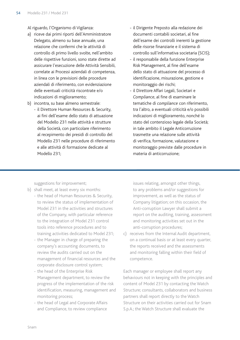Al riguardo, l'Organismo di Vigilanza:

- a) riceve dai primi riporti dell'Amministratore Delegato, almeno su base annuale, una relazione che confermi che le attività di controllo di primo livello svolte, nell'ambito delle rispettive funzioni, sono state dirette ad assicurare l'esecuzione delle Attività Sensibili, correlate ai Processi aziendali di competenza, in linea con le previsioni delle procedure aziendali di riferimento, con evidenziazione delle eventuali criticità riscontrate e/o indicazioni di miglioramento;
- b) incontra, su base almeno semestrale:
	- il Direttore Human Resources & Security, ai fini dell'esame dello stato di attuazione del Modello 231 nelle attività e strutture della Società, con particolare riferimento al recepimento dei presidi di controllo del Modello 231 nelle procedure di riferimento e alle attività di formazione dedicate al Modello 231;
- il Dirigente Preposto alla redazione dei documenti contabili societari, al fine dell'esame dei controlli inerenti la gestione delle risorse finanziarie e il sistema di controllo sull'informativa societaria (SCIS);
- il responsabile della funzione Enterprise Risk Management, al fine dell'esame dello stato di attuazione del processo di identificazione, misurazione, gestione e monitoraggio dei rischi;
- il Direttore Affari Legali, Societari e *Compliance*, al fine di esaminare le tematiche di *compliance* con riferimento, tra l'altro, a eventuali criticità e/o possibili indicazioni di miglioramento, nonché lo stato del contenzioso legale della Società; in tale ambito il Legale Anticorruzione trasmette una relazione sulle attività di verifica, formazione, valutazione e monitoraggio previste dalle procedure in materia di anticorruzione;

suggestions for improvement;

- b) shall meet, at least every six months:
	- the head of Human Resources & Security, to review the status of implementation of Model 231 in the activities and structures of the Company, with particular reference to the integration of Model 231 control tools into reference procedures and to training activities dedicated to Model 231;
		- the Manager in charge of preparing the company's accounting documents, to review the audits carried out on the management of financial resources and the corporate disclosure control system;
		- the head of the Enterprise Risk Management department, to review the progress of the implementation of the risk identification, measuring, management and monitoring process;
		- the head of Legal and Corporate Affairs and Compliance, to review compliance

issues relating, amongst other things, to any problems and/or suggestions for improvement, as well as the status of Company litigation; on this occasion, the Anti-corruption Lawyer shall submit a report on the auditing, training, assessment and monitoring activities set out in the anti-corruption procedures;

c) receives from the Internal Audit department, on a continual basis or at least every quarter, the reports received and the assessments and monitoring falling within their field of competence.

Each manager or employee shall report any behaviours not in keeping with the principles and content of Model 231 by contacting the Watch Structure; consultants, collaborators and business partners shall report directly to the Watch Structure on their activities carried out for Snam S.p.A.; the Watch Structure shall evaluate the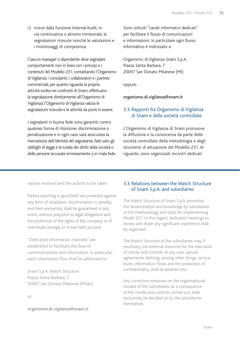c) riceve dalla funzione Internal Audit, in via continuativa o almeno trimestrale, le segnalazioni ricevute nonché le valutazioni e i monitoraggi di competenza.

Ciascun *manager* o dipendente deve segnalare comportamenti non in linea con i principi e i contenuti del Modello 231, contattando l'Organismo di Vigilanza; i consulenti, i collaboratori e i *partner* commerciali, per quanto riguarda la propria attività svolta nei confronti di Snam, effettuano la segnalazione direttamente all'Organismo di Vigilanza; l'Organismo di Vigilanza valuta le segnalazioni ricevute e le attività da porre in essere.

I segnalanti in buona fede sono garantiti contro qualsiasi forma di ritorsione, discriminazione o penalizzazione e in ogni caso sarà assicurata la riservatezza dell'identità del segnalante, fatti salvi gli obblighi di legge e la tutela dei diritti della società o delle persone accusate erroneamente o in mala fede. Sono istituiti "canali informativi dedicati" per facilitare il flusso di comunicazioni e informazioni. In particolare ogni flusso informativo è indirizzato a:

Organismo di Vigilanza Snam S.p.A. Piazza Santa Barbara, 7 20097 San Donato Milanese (MI)

oppure:

organismo.di.vigilanza@snam.it

## 3.3. Rapporti fra Organismo di Vigilanza di Snam e delle società controllate

L'Organismo di Vigilanza di Snam promuove la diffusione e la conoscenza da parte delle società controllate della metodologia e degli strumenti di attuazione del Modello 231. Al riguardo, sono organizzati incontri dedicati

reports received and the actions to be taken.

Parties reporting in good faith are protected against any form of retaliation, discrimination or penalty, and their anonymity shall be guaranteed in any event, without prejudice to legal obligations and the protection of the rights of the company or of individuals wrongly or in bad faith accused.

"Dedicated information channels" are established to facilitate the flow of communications and information. In particular, each information flow shall be addressed to:

Snam S.p.A. Watch Structure Piazza Santa Barbara, 7 20097 San Donato Milanese (Milan)

or:

**organismo.di.vigilanza@snam.it**

## 3.3. Relations between the Watch Structure of Snam S.p.A. and subsidiaries

The Watch Structure of Snam S.p.A. promotes the dissemination and knowledge by subsidiaries of the methodology and tools for implementing Model 231. In this regard, dedicated meetings to review and share any significant experience shall be organised.

The Watch Structure of the subsidiaries may, if necessary, use external resources for the execution of checks and controls. In any case, special agreements defining, among other things, service levels, information flows and the protection of confidentiality, shall be entered into.

Any corrective measures on the organisational models of the subsidiaries, as a consequence of the checks and controls carried out, shall exclusively be decided on by the subsidiaries themselves.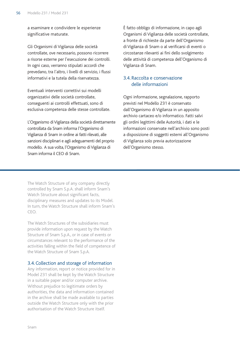a esaminare e condividere le esperienze significative maturate.

Gli Organismi di Vigilanza delle società controllate, ove necessario, possono ricorrere a risorse esterne per l'esecuzione dei controlli. In ogni caso, verranno stipulati accordi che prevedano, tra l'altro, i livelli di servizio, i flussi informativi e la tutela della riservatezza.

Eventuali interventi correttivi sui modelli organizzativi delle società controllate, conseguenti ai controlli effettuati, sono di esclusiva competenza delle stesse controllate.

L'Organismo di Vigilanza della società direttamente controllata da Snam informa l'Organismo di Vigilanza di Snam in ordine ai fatti rilevati, alle sanzioni disciplinari e agli adeguamenti del proprio modello. A sua volta, l'Organismo di Vigilanza di Snam informa il CEO di Snam.

È fatto obbligo di informazione, in capo agli Organismi di Vigilanza delle società controllate, a fronte di richieste da parte dell'Organismo di Vigilanza di Snam o al verificarsi di eventi o circostanze rilevanti ai fini dello svolgimento delle attività di competenza dell'Organismo di Vigilanza di Snam.

### 3.4. Raccolta e conservazione delle informazioni

Ogni informazione, segnalazione, rapporto previsti nel Modello 231 è conservato dall'Organismo di Vigilanza in un apposito archivio cartaceo e/o informatico. Fatti salvi gli ordini legittimi delle Autorità, i dati e le informazioni conservate nell'archivio sono posti a disposizione di soggetti esterni all'Organismo di Vigilanza solo previa autorizzazione dell'Organismo stesso.

The Watch Structure of any company directly controlled by Snam S.p.A. shall inform Snam's Watch Structure about significant facts, disciplinary measures and updates to its Model. In turn, the Watch Structure shall inform Snam's CEO.

The Watch Structures of the subsidiaries must provide information upon request by the Watch Structure of Snam S.p.A., or in case of events or circumstances relevant to the performance of the activities falling within the field of competence of the Watch Structure of Snam S.p.A.

#### 3.4. Collection and storage of information

Any information, report or notice provided for in Model 231 shall be kept by the Watch Structure in a suitable paper and/or computer archive. Without prejudice to legitimate orders by authorities, the data and information contained in the archive shall be made available to parties outside the Watch Structure only with the prior authorisation of the Watch Structure itself.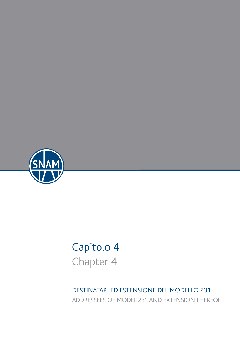

## Capitolo 4 Chapter 4

DESTINATARI ED ESTENSIONE DEL MODELLO 231 ADDRESSEES OF MODEL 231 AND EXTENSION THEREOF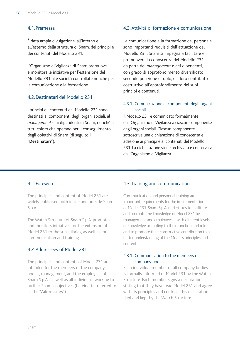#### 4.1. Premessa

È data ampia divulgazione, all'interno e all'esterno della struttura di Snam, dei principi e dei contenuti del Modello 231.

L'Organismo di Vigilanza di Snam promuove e monitora le iniziative per l'estensione del Modello 231 alle società controllate nonché per la comunicazione e la formazione.

#### 4.2.Destinatari del Modello 231

I principi e i contenuti del Modello 231 sono destinati ai componenti degli organi sociali, al *management* e ai dipendenti di Snam, nonché a tutti coloro che operano per il conseguimento degli obiettivi di Snam (di seguito, i "**Destinatari**").

#### 4.3. Attività di formazione e comunicazione

La comunicazione e la formazione del personale sono importanti requisiti dell'attuazione del Modello 231. Snam si impegna a facilitare e promuovere la conoscenza del Modello 231 da parte del *management* e dei dipendenti, con grado di approfondimento diversificato secondo posizione e ruolo, e il loro contributo costruttivo all'approfondimento dei suoi principi e contenuti.

#### 4.3.1. Comunicazione ai componenti degli organi sociali

Il Modello 231 è comunicato formalmente dall'Organismo di Vigilanza a ciascun componente degli organi sociali. Ciascun componente sottoscrive una dichiarazione di conoscenza e adesione ai principi e ai contenuti del Modello 231. La dichiarazione viene archiviata e conservata dall'Organismo di Vigilanza.

#### 4.1. Foreword

The principles and content of Model 231 are widely publicised both inside and outside Snam S.p.A.

The Watch Structure of Snam S.p.A. promotes and monitors initiatives for the extension of Model 231 to the subsidiaries, as well as for communication and training.

#### 4.2. Addressees of Model 231

The principles and contents of Model 231 are intended for the members of the company bodies, management, and the employees of Snam S.p.A., as well as all individuals working to further Snam's objectives (hereinafter referred to as the "**Addressees**").

#### 4.3. Training and communication

Communication and personnel training are important requirements for the implementation of Model 231. Snam S.p.A. undertakes to facilitate and promote the knowledge of Model 231 by management and employees – with different levels of knowledge according to their function and role – and to promote their constructive contribution to a better understanding of the Model's principles and content.

#### 4.3.1. Communication to the members of company bodies

Each individual member of all company bodies is formally informed of Model 231 by the Watch Structure. Each member signs a declaration stating that they have read Model 231 and agree with its principles and content. This declaration is filed and kept by the Watch Structure.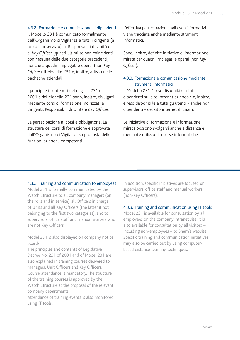4.3.2. Formazione e comunicazione ai dipendenti

Il Modello 231 è comunicato formalmente dall'Organismo di Vigilanza a tutti i dirigenti (a ruolo e in servizio), ai Responsabili di Unità e ai *Key Officer* (questi ultimi se non coincidenti con nessuna delle due categorie precedenti) nonché a quadri, impiegati e operai (non *Key Officer*). Il Modello 231 è, inoltre, affisso nelle bacheche aziendali.

I principi e i contenuti del d.lgs. n. 231 del 2001 e del Modello 231 sono, inoltre, divulgati mediante corsi di formazione indirizzati a dirigenti, Responsabili di Unità e *Key Officer*.

La partecipazione ai corsi è obbligatoria. La struttura dei corsi di formazione è approvata dall'Organismo di Vigilanza su proposta delle funzioni aziendali competenti.

L'effettiva partecipazione agli eventi formativi viene tracciata anche mediante strumenti informatici.

Sono, inoltre, definite iniziative di informazione mirata per quadri, impiegati e operai (non *Key Officer*).

#### 4.3.3. Formazione e comunicazione mediante strumenti informatici

Il Modello 231 è reso disponibile a tutti i dipendenti sul sito intranet aziendale e, inoltre, è reso disponibile a tutti gli utenti - anche non dipendenti - del sito internet di Snam.

Le iniziative di formazione e informazione mirata possono svolgersi anche a distanza e mediante utilizzo di risorse informatiche.

4.3.2. Training and communication to employees Model 231 is formally communicated by the Watch Structure to all company managers (on the rolls and in service), all Officers in charge of Units and all Key Officers (the latter if not belonging to the first two categories), and to supervisors, office staff and manual workers who are not Key Officers.

Model 231 is also displayed on company notice boards.

The principles and contents of Legislative Decree No. 231 of 2001 and of Model 231 are also explained in training courses delivered to managers, Unit Officers and Key Officers. Course attendance is mandatory. The structure of the training courses is approved by the Watch Structure at the proposal of the relevant company departments.

Attendance of training events is also monitored using IT tools.

In addition, specific initiatives are focused on supervisors, office staff and manual workers (non-Key Officers).

#### 4.3.3. Training and communication using IT tools

Model 231 is available for consultation by all employees on the company intranet site; it is also available for consultation by all visitors – including non-employees – to Snam's website. Specific training and communication initiatives may also be carried out by using computerbased distance-learning techniques.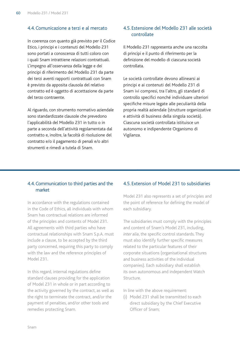### 4.4. Comunicazione a terzi e al mercato

In coerenza con quanto già previsto per il Codice Etico, i principi e i contenuti del Modello 231 sono portati a conoscenza di tutti coloro con i quali Snam intrattiene relazioni contrattuali. L'impegno all'osservanza della legge e dei principi di riferimento del Modello 231 da parte dei terzi aventi rapporti contrattuali con Snam è previsto da apposita clausola del relativo contratto ed è oggetto di accettazione da parte del terzo contraente.

Al riguardo, con strumento normativo aziendale sono standardizzate clausole che prevedono l'applicabilità del Modello 231 in tutto o in parte a seconda dell'attività regolamentata dal contratto e, inoltre, la facoltà di risoluzione del contratto e/o il pagamento di penali e/o altri strumenti e rimedi a tutela di Snam.

## 4.5. Estensione del Modello 231 alle società controllate

Il Modello 231 rappresenta anche una raccolta di principi e il punto di riferimento per la definizione del modello di ciascuna società controllata.

Le società controllate devono allinearsi ai principi e ai contenuti del Modello 231 di Snam ivi compresi, tra l'altro, gli standard di controllo specifici nonché individuare ulteriori specifiche misure legate alle peculiarità della propria realtà aziendale (strutture organizzative e attività di business della singola società). Ciascuna società controllata istituisce un autonomo e indipendente Organismo di Vigilanza.

#### 4.4. Communication to third parties and the market

In accordance with the regulations contained in the Code of Ethics, all individuals with whom Snam has contractual relations are informed of the principles and contents of Model 231. All agreements with third parties who have contractual relationships with Snam S.p.A. must include a clause, to be accepted by the third party concerned, requiring this party to comply with the law and the reference principles of Model 231.

In this regard, internal regulations define standard clauses providing for the application of Model 231 in whole or in part according to the activity governed by the contract, as well as the right to terminate the contract, and/or the payment of penalties, and/or other tools and remedies protecting Snam.

### 4.5. Extension of Model 231 to subsidiaries

Model 231 also represents a set of principles and the point of reference for defining the model of each subsidiary.

The subsidiaries must comply with the principles and content of Snam's Model 231, including, *inter alia*, the specific control standards. They must also identify further specific measures related to the particular features of their corporate situations (organisational structures and business activities of the individual companies). Each subsidiary shall establish its own autonomous and independent Watch Structure.

In line with the above requirement:

(i) Model 231 shall be transmitted to each direct subsidiary by the Chief Executive Officer of Snam;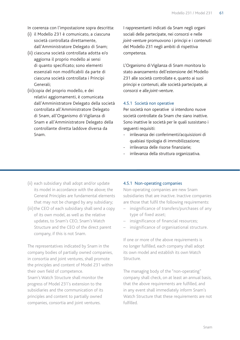- In coerenza con l'impostazione sopra descritta:
- (i) il Modello 231 è comunicato, a ciascuna società controllata direttamente, dall'Amministratore Delegato di Snam;
- (ii) ciascuna società controllata adotta e/o aggiorna il proprio modello ai sensi di quanto specificato; sono elementi essenziali non modificabili da parte di ciascuna società controllata i Principi Generali;
- (iii)copia del proprio modello, e dei relativi aggiornamenti, è comunicata dall'Amministratore Delegato della società controllata all'Amministratore Delegato di Snam, all'Organismo di Vigilanza di Snam e all'Amministratore Delegato della controllante diretta laddove diversa da Snam.

I rappresentanti indicati da Snam negli organi sociali delle partecipate, nei consorzi e nelle *joint-venture* promuovono i principi e i contenuti del Modello 231 negli ambiti di rispettiva competenza.

L'Organismo di Vigilanza di Snam monitora lo stato avanzamento dell'estensione del Modello 231 alle società controllate e, quanto ai suoi principi e contenuti, alle società partecipate, ai consorzi e alle *joint-venture*.

#### 4.5.1 Società non operative

Per società non operative si intendono nuove società controllate da Snam che siano inattive. Sono inattive le società per le quali sussistano i seguenti requisiti:

- irrilevanza dei conferimenti/acquisizioni di qualsiasi tipologia di immobilizzazione;
- irrilevanza delle risorse finanziarie;
- irrilevanza della struttura organizzativa.
- (ii) each subsidiary shall adopt and/or update its model in accordance with the above; the General Principles are fundamental elements that may not be changed by any subsidiary;
- (iii) the CEO of each subsidiary shall send a copy of its own model, as well as the relative updates, to Snam's CEO, Snam's Watch Structure and the CEO of the direct parent company, if this is not Snam.

The representatives indicated by Snam in the company bodies of partially owned companies, in consortia and joint ventures, shall promote the principles and content of Model 231 within their own field of competence.

Snam's Watch Structure shall monitor the progress of Model 231's extension to the subsidiaries and the communication of its principles and content to partially owned companies, consortia and joint ventures.

#### 4.5.1 Non-operating companies

Non-operating companies are new Snam subsidiaries that are inactive. Inactive companies are those that fulfil the following requirements:

- insignificance of transfers/purchases of any type of fixed asset;
- insignificance of financial resources;
- insignificance of organisational structure.

If one or more of the above requirements is no longer fulfilled, each company shall adopt its own model and establish its own Watch Structure.

The managing body of the "non-operating" company shall check, on at least an annual basis, that the above requirements are fulfilled, and in any event shall immediately inform Snam's Watch Structure that these requirements are not fulfilled.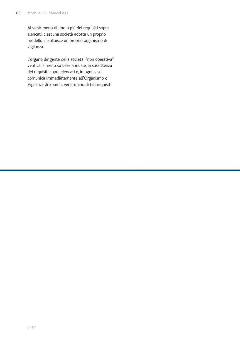Al venir meno di uno o più dei requisiti sopra elencati, ciascuna società adotta un proprio modello e istituisce un proprio organismo di vigilanza.

L'organo dirigente della società "non operativa" verifica, almeno su base annuale, la sussistenza dei requisiti sopra elencati e, in ogni caso, comunica immediatamente all'Organismo di Vigilanza di Snam il venir meno di tali requisiti.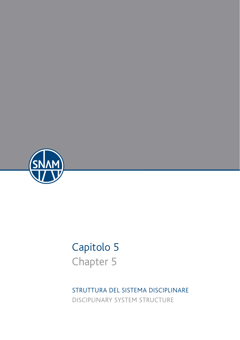

# Capitolo 5 Chapter 5

STRUTTURA DEL SISTEMA DISCIPLINARE DISCIPLINARY SYSTEM STRUCTURE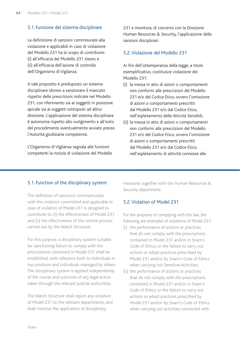### 5.1. Funzione del sistema disciplinare

La definizione di sanzioni commisurate alla violazione e applicabili in caso di violazione del Modello 231 ha lo scopo di contribuire: (i) all'efficacia del Modello 231 stesso e (ii) all'efficacia dell'azione di controllo dell'Organismo di Vigilanza.

A tale proposito è predisposto un sistema disciplinare idoneo a sanzionare il mancato rispetto delle prescrizioni indicate nel Modello 231, con riferimento sia ai soggetti in posizione apicale sia ai soggetti sottoposti ad altrui direzione. L'applicazione del sistema disciplinare è autonoma rispetto allo svolgimento e all'esito del procedimento eventualmente avviato presso l'Autorità giudiziaria competente.

L'Organismo di Vigilanza segnala alle funzioni competenti la notizia di violazione del Modello 231 e monitora, di concerto con la Direzione Human Resources & Security, l'applicazione delle sanzioni disciplinari.

## 5.2.Violazione del Modello 231

Ai fini dell'ottemperanza della legge, a titolo esemplificativo, costituisce violazione del Modello 231:

- (i) la messa in atto di azioni o comportamenti non conformi alle prescrizioni del Modello 231 e/o del Codice Etico, ovvero l'omissione di azioni o comportamenti prescritti dal Modello 231 e/o dal Codice Etico, nell'espletamento delle Attività Sensibili;
- (ii) la messa in atto di azioni o comportamenti non conformi alle prescrizioni del Modello 231 e/o del Codice Etico, ovvero l'omissione di azioni o comportamenti prescritti dal Modello 231 e/o dal Codice Etico, nell'espletamento di attività connesse alle

## 5.1. Function of the disciplinary system

The definition of sanctions commensurate with the violation committed and applicable in case of violation of Model 231 is designed to contribute to: (i) the effectiveness of Model 231, and (ii) the effectiveness of the control process carried out by the Watch Structure.

For this purpose, a disciplinary system suitable for sanctioning failure to comply with the prescriptions contained in Model 231 shall be established, with reference both to individuals in top positions and individuals managed by others. The disciplinary system is applied independently of the course and outcome of any legal action taken through the relevant judicial authorities.

The Watch Structure shall report any violation of Model 231 to the relevant departments, and shall monitor the application of disciplinary

measures together with the Human Resources & Security department.

## 5.2.Violation of Model 231

For the purposes of complying with the law, the following are examples of violations of Model 231:

- (i) the performance of actions or practices that do not comply with the prescriptions contained in Model 231 and/or in Snam's Code of Ethics, or the failure to carry out actions or adopt practices prescribed by Model 231 and/or by Snam's Code of Ethics, when carrying out Sensitive Activities;
- (ii) the performance of actions or practices that do not comply with the prescriptions contained in Model 231 and/or in Snam's Code of Ethics, or the failure to carry out actions or adopt practices prescribed by Model 231 and/or by Snam's Code of Ethics, when carrying out activities connected with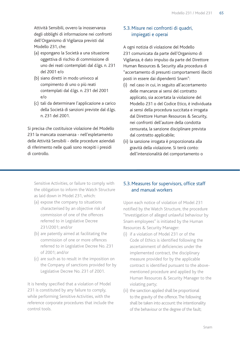Attività Sensibili, ovvero la inosservanza degli obblighi di informazione nei confronti dell'Organismo di Vigilanza previsti dal Modello 231, che:

- (a) espongano la Società a una situazione oggettiva di rischio di commissione di uno dei reati contemplati dal d.lgs. n. 231 del 2001 e/o
- (b) siano diretti in modo univoco al compimento di uno o più reati contemplati dal d.lgs. n. 231 del 2001 e/o
- (c) tali da determinare l'applicazione a carico della Società di sanzioni previste dal d.lgs. n. 231 del 2001.

Si precisa che costituisce violazione del Modello 231 la mancata osservanza - nell'espletamento delle Attività Sensibili - delle procedure aziendali di riferimento nelle quali sono recepiti i presidi di controllo.

## 5.3.Misure nei confronti di quadri, impiegati e operai

A ogni notizia di violazione del Modello 231 comunicata da parte dell'Organismo di Vigilanza, è dato impulso da parte del Direttore Human Resources & Security alla procedura di "accertamento di presunti comportamenti illeciti posti in essere dai dipendenti Snam":

- (i) nel caso in cui, in seguito all'accertamento delle mancanze ai sensi del contratto applicato, sia accertata la violazione del Modello 231 o del Codice Etico, è individuata ai sensi della procedura succitata e irrogata dal Direttore Human Resources & Security, nei confronti dell'autore della condotta censurata, la sanzione disciplinare prevista dal contratto applicabile;
- (ii) la sanzione irrogata è proporzionata alla gravità della violazione. Si terrà conto: dell'intenzionalità del comportamento o

Sensitive Activities, or failure to comply with the obligation to inform the Watch Structure as laid down in Model 231, which:

- (a) expose the company to situations characterised by an objective risk of commission of one of the offences referred to in Legislative Decree 231/2001; and/or
- (b) are patently aimed at facilitating the commission of one or more offences referred to in Legislative Decree No. 231 of 2001; and/or
- (c) are such as to result in the imposition on the Company of sanctions provided for by Legislative Decree No. 231 of 2001.

It is hereby specified that a violation of Model 231 is constituted by any failure to comply, while performing Sensitive Activities, with the reference corporate procedures that include the control tools.

## 5.3.Measures for supervisors, office staff and manual workers

Upon each notice of violation of Model 231 notified by the Watch Structure, the procedure "Investigation of alleged unlawful behaviour by Snam employees" is initiated by the Human Resources & Security Manager:

- (i) if a violation of Model 231 or of the Code of Ethics is identified following the ascertainment of deficiencies under the implemented contract, the disciplinary measure provided for by the applicable contract is identified pursuant to the abovementioned procedure and applied by the Human Resources & Security Manager to the violating party;
- (ii) the sanction applied shall be proportional to the gravity of the offence. The following shall be taken into account: the intentionality of the behaviour or the degree of the fault;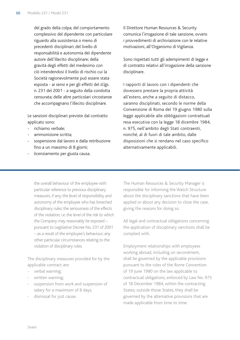del grado della colpa; del comportamento complessivo del dipendente con particolare riguardo alla sussistenza o meno di precedenti disciplinari; del livello di responsabilità e autonomia del dipendente autore dell'illecito disciplinare; della gravità degli effetti del medesimo con ciò intendendosi il livello di rischio cui la Società ragionevolmente può essere stata esposta - ai sensi e per gli effetti del d.lgs. n. 231 del 2001 - a seguito della condotta censurata; delle altre particolari circostanze che accompagnano l'illecito disciplinare.

Le sanzioni disciplinari previste dal contratto applicato sono:

- richiamo verbale;
- ammonizione scritta:
- sospensione dal lavoro e dalla retribuzione fino a un massimo di 8 giorni;
- licenziamento per giusta causa.

Il Direttore Human Resources & Security comunica l'irrogazione di tale sanzione, ovvero i provvedimenti di archiviazione con le relative motivazioni, all'Organismo di Vigilanza.

Sono rispettati tutti gli adempimenti di legge e di contratto relativi all'irrogazione della sanzione disciplinare.

I rapporti di lavoro con i dipendenti che dovessero prestare la propria attività all'estero, anche a seguito di distacco, saranno disciplinati, secondo le norme della Convenzione di Roma del 19 giugno 1980 sulla legge applicabile alle obbligazioni contrattuali resa esecutiva con la legge 18 dicembre 1984, n. 975, nell'ambito degli Stati contraenti, nonché, al di fuori di tale ambito, dalle disposizioni che si rendano nel caso specifico alternativamente applicabili.

the overall behaviour of the employee with particular reference to previous disciplinary measures, if any; the level of responsibility and autonomy of the employee who has breached disciplinary rules; the seriousness of the effects of the violation, i.e. the level of the risk to which the Company may reasonably be exposed – pursuant to Legislative Decree No. 231 of 2001 – as a result of the employee's behaviour; any other particular circumstances relating to the violation of disciplinary rules.

The disciplinary measures provided for by the applicable contract are:

- verbal warning;
- written warning;
- suspension from work and suspension of salary for a maximum of 8 days;
- dismissal for just cause.

The Human Resources & Security Manager is responsible for informing the Watch Structure about the disciplinary sanctions that have been applied or about any decision to close the case, giving the reasons for doing so.

All legal and contractual obligations concerning the application of disciplinary sanctions shall be complied with.

Employment relationships with employees working abroad, including on secondment, shall be governed by the applicable provisions pursuant to the rules of the Rome Convention of 19 June 1980 on the law applicable to contractual obligations, enforced by Law No. 975 of 18 December 1984, within the contracting States; outside those States, they shall be governed by the alternative provisions that are made applicable from time to time.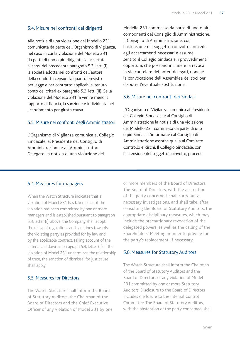## 5.4.Misure nei confronti dei dirigenti

Alla notizia di una violazione del Modello 231 comunicata da parte dell'Organismo di Vigilanza, nel caso in cui la violazione del Modello 231 da parte di uno o più dirigenti sia accertata ai sensi del precedente paragrafo 5.3. lett. (i), la società adotta nei confronti dell'autore della condotta censurata quanto previsto per legge e per contratto applicabile, tenuto conto dei criteri ex paragrafo 5.3. lett. (ii). Se la violazione del Modello 231 fa venire meno il rapporto di fiducia, la sanzione è individuata nel licenziamento per giusta causa.

#### 5.5. Misure nei confronti degli Amministratori

L'Organismo di Vigilanza comunica al Collegio Sindacale, al Presidente del Consiglio di Amministrazione e all'Amministratore Delegato, la notizia di una violazione del

Modello 231 commessa da parte di uno o più componenti del Consiglio di Amministrazione. Il Consiglio di Amministrazione, con l'astensione del soggetto coinvolto, procede agli accertamenti necessari e assume, sentito il Collegio Sindacale, i provvedimenti opportuni, che possono includere la revoca in via cautelare dei poteri delegati, nonché la convocazione dell'Assemblea dei soci per disporre l'eventuale sostituzione.

## 5.6.Misure nei confronti dei Sindaci

L'Organismo di Vigilanza comunica al Presidente del Collegio Sindacale e al Consiglio di Amministrazione la notizia di una violazione del Modello 231 commessa da parte di uno o più Sindaci. L'informativa al Consiglio di Amministrazione assorbe quella al Comitato Controllo e Rischi. Il Collegio Sindacale, con l'astensione del soggetto coinvolto, procede

#### 5.4.Measures for managers

When the Watch Structure indicates that a violation of Model 231 has taken place, if the violation has been committed by one or more managers and is established pursuant to paragraph 5.3, letter (i), above, the Company shall adopt the relevant regulations and sanctions towards the violating party as provided for by law and by the applicable contract, taking account of the criteria laid down in paragraph 5.3, letter (ii). If the violation of Model 231 undermines the relationship of trust, the sanction of dismissal for just cause shall apply.

#### 5.5. Measures for Directors

The Watch Structure shall inform the Board of Statutory Auditors, the Chairman of the Board of Directors and the Chief Executive Officer of any violation of Model 231 by one or more members of the Board of Directors. The Board of Directors, with the abstention of the party concerned, shall carry out all necessary investigations, and shall take, after consulting the Board of Statutory Auditors, the appropriate disciplinary measures, which may include the precautionary revocation of the delegated powers, as well as the calling of the Shareholders' Meeting in order to provide for the party's replacement, if necessary.

## 5.6.Measures for Statutory Auditors

The Watch Structure shall inform the Chairman of the Board of Statutory Auditors and the Board of Directors of any violation of Model 231 committed by one or more Statutory Auditors. Disclosure to the Board of Directors includes disclosure to the Internal Control Committee. The Board of Statutory Auditors, with the abstention of the party concerned, shall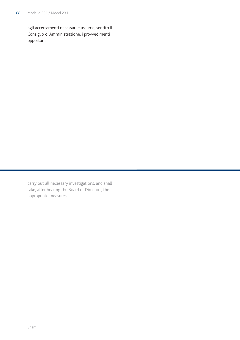agli accertamenti necessari e assume, sentito il Consiglio di Amministrazione, i provvedimenti opportuni.

carry out all necessary investigations, and shall take, after hearing the Board of Directors, the appropriate measures.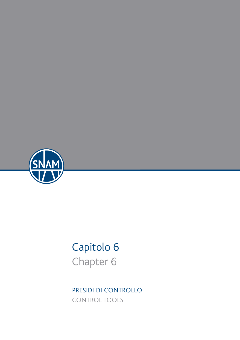

# Capitolo 6 Chapter 6

PRESIDI DI CONTROLLO CONTROL TOOLS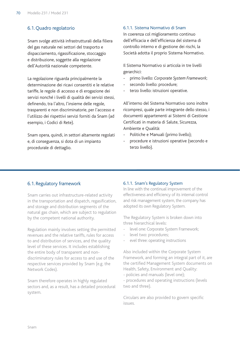## 6.1. Quadro regolatorio

Snam svolge attività infrastrutturali della filiera del gas naturale nei settori del trasporto e dispacciamento, rigassificazione, stoccaggio e distribuzione, soggette alla regolazione dell'Autorità nazionale competente.

La regolazione riguarda principalmente la determinazione dei ricavi consentiti e le relative tariffe, le regole di accesso e di erogazione dei servizi nonché i livelli di qualità dei servizi stessi, definendo, tra l'altro, l'insieme delle regole, trasparenti e non discriminatorie, per l'accesso e l'utilizzo dei rispettivi servizi forniti da Snam (ad esempio, i Codici di Rete).

Snam opera, quindi, in settori altamente regolati e, di conseguenza, si dota di un impianto procedurale di dettaglio.

#### 6.1.1. Sistema Normativo di Snam

In coerenza col miglioramento continuo dell'efficacia e dell'efficienza del sistema di controllo interno e di gestione dei rischi, la Società adotta il proprio Sistema Normativo.

Il Sistema Normativo si articola in tre livelli gerarchici:

- primo livello: *Corporate System Framework*;
- secondo livello: procedure;
- terzo livello: istruzioni operative.

All'interno del Sistema Normativo sono inoltre ricompresi, quale parte integrante dello stesso, i documenti appartenenti ai Sistemi di Gestione Certificati in materia di Salute, Sicurezza, Ambiente e Qualità:

- Politiche e Manuali (primo livello);
- procedure e istruzioni operative (secondo e terzo livello).

#### 6.1. Regulatory framework

Snam carries out infrastructure-related activity in the transportation and dispatch, regasification, and storage and distribution segments of the natural gas chain, which are subject to regulation by the competent national authority.

Regulation mainly involves setting the permitted revenues and the relative tariffs, rules for access to and distribution of services, and the quality level of these services. It includes establishing the entire body of transparent and nondiscriminatory rules for access to and use of the respective services provided by Snam (e.g. the Network Codes).

Snam therefore operates in highly regulated sectors and, as a result, has a detailed procedural system.

#### 6.1.1. Snam's Regulatory System

In line with the continual improvement of the effectiveness and efficiency of its internal control and risk management system, the company has adopted its own Regulatory System.

The Regulatory System is broken down into three hierarchical levels:

- level one: Corporate System Framework;
- level two: procedures;
- evel three: operating instructions

Also included within the Corporate System Framework, and forming an integral part of it, are the certified Management System documents on Health, Safety, Environment and Quality: - policies and manuals (level one);

- procedures and operating instructions (levels

two and three).

Circulars are also provided to govern specific issues.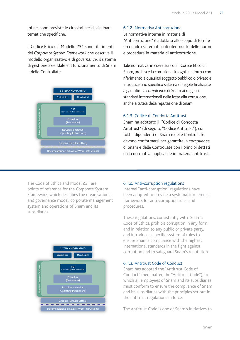Infine, sono previste le circolari per disciplinare tematiche specifiche.

Il Codice Etico e il Modello 231 sono riferimenti del *Corporate System Framework* che descrive il modello organizzativo e di *governance*, il sistema di gestione aziendale e il funzionamento di Snam e delle Controllate.



#### 6.1.2. Normativa Anticorruzione

La normativa interna in materia di "Anticorruzione" è adottata allo scopo di fornire un quadro sistematico di riferimento delle norme e procedure in materia di anticorruzione.

Tale normativa, in coerenza con il Codice Etico di Snam, proibisce la corruzione, in ogni sua forma con riferimento a qualsiasi soggetto pubblico o privato e introduce uno specifico sistema di regole finalizzate a garantire la *compliance* di Snam ai migliori standard internazionali nella lotta alla corruzione, anche a tutela della reputazione di Snam.

## entier<br>6.1.3. Codice di Condotta Antitrust

Snam ha adottato il "Codice di Condotta<br>Antitrust" (di soguito "Codice Antitrust") Antitrust" (di seguito "Codice Antitrust"), cui tutti i dipendenti di Snam e delle Controllate devono conformarsi per garantire la *compliance* di Snam e delle Controllate con i principi dettati dalla normativa applicabile in materia antitrust. Co<br>nan<br>er ɛ ic<br>lic<br>e

The Code of Ethics and Model 231 are points of reference for the Corporate System Framework, which describes the organisational and governance model, corporate management system and operations of Snam and its subsidiaries.



#### 6.1.2. Anti-corruption regulations

Internal "anti-corruption" regulations have been adopted to provide a systematic reference framework for anti-corruption rules and procedures.

These regulations, consistently with Snam's Code of Ethics, prohibit corruption in any form and in relation to any public or private party, and introduce a specific system of rules to ensure Snam's compliance with the highest international standards in the fight against corruption and to safeguard Snam's reputation.

#### 6.1.3. Antitrust Code of Conduct

Snam has adopted the "Antitrust Code of Conduct" (begins the "Antitrust Code of Conduct" (hereinafter, the "Antitrust Code"), to which all employees of Snam and its subsidiaries<br>must conform to ensure the compliance of Snam must conform to ensure the compliance of Snam must conform to ensure the compliance of Snam<br>and its subsidiaries with the principles set out in<br>the antitrust regulations in force. the antitrust regulations in force. aı<br>าง<br>าง

The Antitrust Code is one of Snam's initiatives to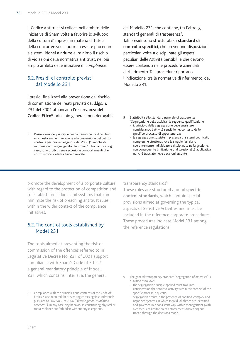Il Codice Antitrust si colloca nell'ambito delle iniziative di Snam volte a favorire lo sviluppo della cultura d'impresa in materia di tutela della concorrenza e a porre in essere procedure e sistemi idonei a ridurre al minimo il rischio di violazioni della normativa antitrust, nel più ampio ambito delle iniziative di *compliance*.

## 6.2. Presidi di controllo previsti dal Modello 231

I presidi finalizzati alla prevenzione del rischio di commissione dei reati previsti dal d.lgs. n. 231 del 2001 affiancano l'**osservanza del Codice Etico**<sup>8</sup> , principio generale non derogabile

8 L'osservanza dei principi e dei contenuti del Codice Etico è richiesta anche in relazione alla prevenzione del delitto contro la persona ex legge n. 7 del 2006 ("pratiche di mutilazione di organi genitali femminili"). Tra l'altro, in ogni caso, sono proibiti senza eccezione comportamenti che costituiscono violenza fisica o morale.

del Modello 231, che contiene, tra l'altro, gli standard generali di trasparenza<sup>9</sup>. . Tali presidi sono strutturati su **standard di controllo specifici**, che prevedono disposizioni particolari volte a disciplinare gli aspetti peculiari delle Attività Sensibili e che devono essere contenuti nelle procedure aziendali di riferimento. Tali procedure riportano l'indicazione, tra le normative di riferimento, del Modello 231.

- 9 È attribuita allo standard generale di trasparenza "Segregazione delle attività" la seguente qualificazione:
	- il principio della segregazione deve sussistere considerando l'attività sensibile nel contesto dello specifico processo di appartenenza;
	- la segregazione sussiste in presenza di sistemi codificati, complessi e strutturati ove le singole fasi siano coerentemente individuate e disciplinate nella gestione, con conseguente limitazione di discrezionalità applicativa, nonché tracciate nelle decisioni assunte.

promote the development of a corporate culture with regard to the protection of competition and to establish procedures and systems that can minimise the risk of breaching antitrust rules, within the wider context of the compliance initiatives.

## 6.2. The control tools established by Model 231

The tools aimed at preventing the risk of commission of the offences referred to in Legislative Decree No. 231 of 2001 support compliance with Snam's Code of Ethics<sup>8</sup>, a general mandatory principle of Model 231, which contains, inter alia, the general

transparency standards<sup>9</sup>. .

These rules are structured around **specific control standards**, which contain special provisions aimed at governing the typical aspects of Sensitive Activities and must be included in the reference corporate procedures. These procedures indicate Model 231 among the reference regulations.

- The general transparency standard "Segregation of activities" is qualified as follows:
	- the segregation principle applied must take into consideration the sensitive activity within the context of the specific process in questio;
	- segregation occurs in the presence of codified, complex and organised systems in which individual phases are identified and governed in a consistent way within management (with a consequent limitation of enforcement discretion) and traced through the decisions made.

<sup>8</sup> Compliance with the principles and contents of the Code of Ethics is also required for preventing crimes against individuals pursuant to Law No. 7 of 2006 *("female genital mutilation practices")*. In any case, any behaviours constituting physical or moral violence are forbidden without any exceptions.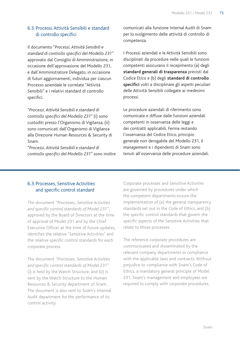## 6.3. Processi, Attività Sensibili e standard di controllo specifici

Il documento "*Processi, Attività Sensibili e standard di controllo specifici del Modello 231*" approvato dal Consiglio di Amministrazione, in occasione dell'approvazione del Modello 231, e dall'Amministratore Delegato, in occasione di futuri aggiornamenti, individua per ciascun Processo aziendale le correlate "Attività Sensibili" e i relativi standard di controllo specifici.

"*Processi, Attività Sensibili e standard di controllo specifici del Modello 231*" (i) sono custoditi presso l'Organismo di Vigilanza, (ii) sono comunicati dall'Organismo di Vigilanza alla Direzione Human Resources & Security di Snam.

"*Processi, Attività Sensibili e standard di controllo specifici del Modello 231*" sono inoltre comunicati alla funzione Internal Audit di Snam per lo svolgimento delle attività di controllo di competenza.

I Processi aziendali e le Attività Sensibili sono disciplinati da procedure nelle quali le funzioni competenti assicurano il recepimento (a) degli **standard generali di trasparenza** previsti dal Codice Etico e (b) degli **standard di controllo specifici** volti a disciplinare gli aspetti peculiari delle Attività Sensibili collegate ai medesimi processi.

Le procedure aziendali di riferimento sono comunicate e diffuse dalle funzioni aziendali competenti in osservanza delle leggi e dei contratti applicabili. Ferma restando l'osservanza del Codice Etico, principio generale non derogabile del Modello 231, il *management* e i dipendenti di Snam sono tenuti all'osservanza delle procedure aziendali.

## 6.3. Processes, Sensitive Activities and specific control standard

The document *"Processes, Sensitive Activities and specific control standards of Model 231"*, approved by the Board of Directors at the time of approval of Model 231 and by the Chief Executive Officer at the time of future updates, identifies the relative "Sensitive Activities" and the relative specific control standards for each corporate process.

The document *"Processes, Sensitive Activities and specific control standards of Model 231"* (i) is held by the Watch Structure, and (ii) is sent by the Watch Structure to the Human Resources & Security department of Snam. The document is also sent to Snam's Internal Audit department for the performance of its control activity.

Corporate processes and Sensitive Activities are governed by procedures under which the competent departments ensure the implementation of (a) the general transparency standards set out in the Code of Ethics, and (b) the specific control standards that govern the specific aspects of the Sensitive Activities that relate to those processes.

The reference corporate procedures are communicated and disseminated by the relevant company departments in compliance with the applicable laws and contracts. Without prejudice to compliance with Snam's Code of Ethics, a mandatory general principle of Model 231, Snam's management and employees are required to comply with corporate procedures.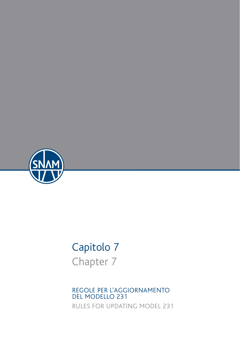

# Capitolo 7 Chapter 7

REGOLE PER L'AGGIORNAMENTO DEL MODELLO 231 RULES FOR UPDATING MODEL 231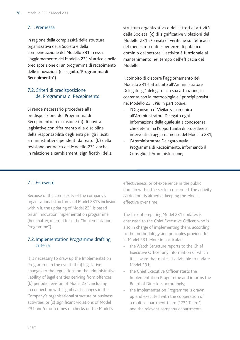### 7.1. Premessa

In ragione della complessità della struttura organizzativa della Società e della compenetrazione del Modello 231 in essa, l'aggiornamento del Modello 231 si articola nella predisposizione di un programma di recepimento delle innovazioni (di seguito, "**Programma di Recepimento**").

## 7.2. Criteri di predisposizione del Programma di Recepimento

Si rende necessario procedere alla predisposizione del Programma di Recepimento in occasione (a) di novità legislative con riferimento alla disciplina della responsabilità degli enti per gli illeciti amministrativi dipendenti da reato, (b) della revisione periodica del Modello 231 anche in relazione a cambiamenti significativi della

struttura organizzativa o dei settori di attività della Società, (c) di significative violazioni del Modello 231 e/o esiti di verifiche sull'efficacia del medesimo o di esperienze di pubblico dominio del settore. L'attività è funzionale al mantenimento nel tempo dell'efficacia del Modello.

Il compito di disporre l'aggiornamento del Modello 231 è attribuito all'Amministratore Delegato, già delegato alla sua attuazione, in coerenza con la metodologia e i principi previsti nel Modello 231. Più in particolare:

- l'Organismo di Vigilanza comunica all'Amministratore Delegato ogni informazione della quale sia a conoscenza che determina l'opportunità di procedere a interventi di aggiornamento del Modello 231;
- l'Amministratore Delegato avvia il Programma di Recepimento, informando il Consiglio di Amministrazione;

## 7.1. Foreword

Because of the complexity of the company's organisational structure and Model 231's inclusion within it, the updating of Model 231 is based on an innovation implementation programme (hereinafter, referred to as the "Implementation Programme").

## 7.2. Implementation Programme drafting criteria

It is necessary to draw up the Implementation Programme in the event of (a) legislative changes to the regulations on the administrative liability of legal entities deriving from offences, (b) periodic revision of Model 231, including in connection with significant changes in the Company's organisational structure or business activities, or (c) significant violations of Model 231 and/or outcomes of checks on the Model's

effectiveness, or of experience in the public domain within the sector concerned. The activity carried out is aimed at keeping the Model effective over time

The task of preparing Model 231 updates is entrusted to the Chief Executive Officer, who is also in charge of implementing them, according to the methodology and principles provided for in Model 231. More in particular:

- the Watch Structure reports to the Chief Executive Officer any information of which it is aware that makes it advisable to update Model 231;
- the Chief Executive Officer starts the Implementation Programme and informs the Board of Directors accordingly;
- the Implementation Programme is drawn up and executed with the cooperation of a multi-department team ("231 Team") and the relevant company departments.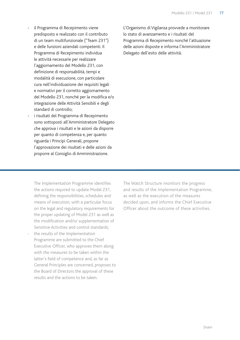- il Programma di Recepimento viene predisposto e realizzato con il contributo di un team multifunzionale ("Team 231") e delle funzioni aziendali competenti. Il Programma di Recepimento individua le attività necessarie per realizzare l'aggiornamento del Modello 231, con definizione di responsabilità, tempi e modalità di esecuzione, con particolare cura nell'individuazione dei requisiti legali e normativi per il corretto aggiornamento del Modello 231, nonché per la modifica e/o integrazione delle Attività Sensibili e degli standard di controllo;
- i risultati del Programma di Recepimento sono sottoposti all'Amministratore Delegato che approva i risultati e le azioni da disporre per quanto di competenza e, per quanto riguarda i Principi Generali, propone l'approvazione dei risultati e delle azioni da proporre al Consiglio di Amministrazione.

L'Organismo di Vigilanza provvede a monitorare lo stato di avanzamento e i risultati del Programma di Recepimento nonché l'attuazione delle azioni disposte e informa l'Amministratore Delegato dell'esito delle attività.

The Implementation Programme identifies the actions required to update Model 231, defining the responsibilities, schedules and means of execution, with a particular focus on the legal and regulatory requirements for the proper updating of Model 231 as well as the modification and/or supplementation of Sensitive Activities and control standards;

the results of the Implementation Programme are submitted to the Chief Executive Officer, who approves them along with the measures to be taken within the latter's field of competence and, as far as General Principles are concerned, proposes to the Board of Directors the approval of these results and the actions to be taken.

The Watch Structure monitors the progress and results of the Implementation Programme, as well as the execution of the measures decided upon, and informs the Chief Executive Officer about the outcome of these activities.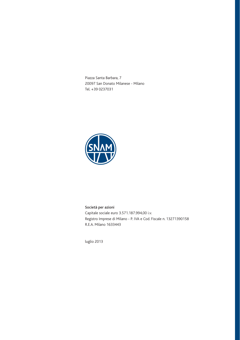Piazza Santa Barbara, 7 20097 San Donato Milanese - Milano Tel. +39 0237031



#### Società per azioni Capitale sociale euro 3.571.187.994,00 i.v. Registro Imprese di Milano - P. IVA e Cod. Fiscale n. 13271390158 R.E.A. Milano 1633443

luglio 2013